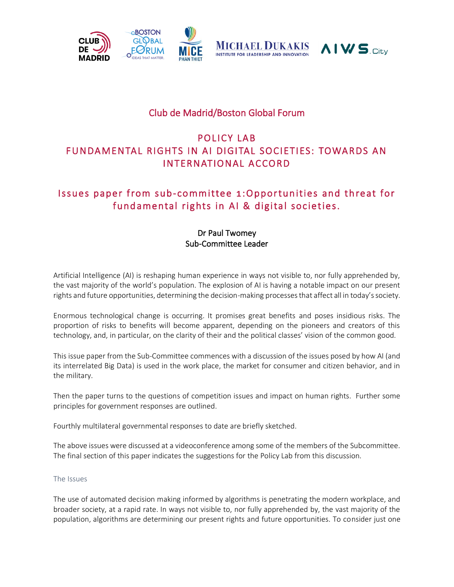

## Club de Madrid/Boston Global Forum

# POLICY LAB FUNDA MENTAL RIGHTS IN ALDIGITAL SOCIETIES: TOWARDS AN INTERNATIONAL ACCORD

# Issues paper from sub-committee 1: Opportunities and threat for fund amental rights in AI & digital societies.

## Dr Paul Twomey Sub-Committee Leader

Artificial Intelligence (AI) is reshaping human experience in ways not visible to, nor fully apprehended by, the vast majority of the world's population. The explosion of AI is having a notable impact on our present rights and future opportunities, determining the decision-making processes that affect all in today's society.

Enormous technological change is occurring. It promises great benefits and poses insidious risks. The proportion of risks to benefits will become apparent, depending on the pioneers and creators of this technology, and, in particular, on the clarity of their and the political classes' vision of the common good.

This issue paper from the Sub-Committee commences with a discussion of the issues posed by how AI (and its interrelated Big Data) is used in the work place, the market for consumer and citizen behavior, and in the military.

Then the paper turns to the questions of competition issues and impact on human rights. Further some principles for government responses are outlined.

Fourthly multilateral governmental responses to date are briefly sketched.

The above issues were discussed at a videoconference among some of the members of the Subcommittee. The final section of this paper indicates the suggestions for the Policy Lab from this discussion.

## The Issues

The use of automated decision making informed by algorithms is penetrating the modern workplace, and broader society, at a rapid rate. In ways not visible to, nor fully apprehended by, the vast majority of the population, algorithms are determining our present rights and future opportunities. To consider just one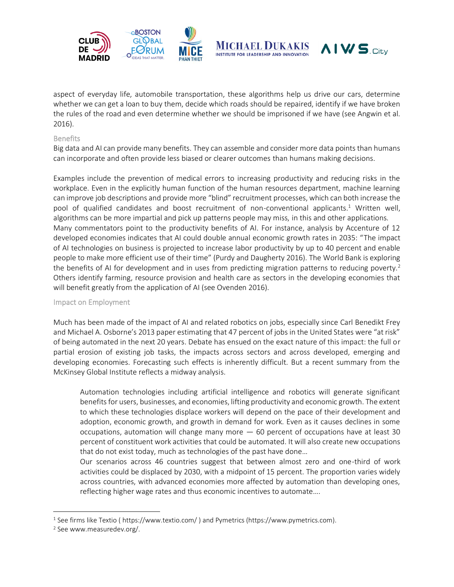

aspect of everyday life, automobile transportation, these algorithms help us drive our cars, determine whether we can get a loan to buy them, decide which roads should be repaired, identify if we have broken the rules of the road and even determine whether we should be imprisoned if we have (see Angwin et al. 2016).

#### **Benefits**

Big data and AI can provide many benefits. They can assemble and consider more data points than humans can incorporate and often provide less biased or clearer outcomes than humans making decisions.

Examples include the prevention of medical errors to increasing productivity and reducing risks in the workplace. Even in the explicitly human function of the human resources department, machine learning can improve job descriptions and provide more "blind" recruitment processes, which can both increase the pool of qualified candidates and boost recruitment of non-conventional applicants.<sup>1</sup> Written well, algorithms can be more impartial and pick up patterns people may miss, in this and other applications. Many commentators point to the productivity benefits of AI. For instance, analysis by Accenture of 12 developed economies indicates that AI could double annual economic growth rates in 2035: "The impact of AI technologies on business is projected to increase labor productivity by up to 40 percent and enable people to make more efficient use of their time" (Purdy and Daugherty 2016). The World Bank is exploring the benefits of AI for development and in uses from predicting migration patterns to reducing poverty.<sup>2</sup> Others identify farming, resource provision and health care as sectors in the developing economies that will benefit greatly from the application of AI (see Ovenden 2016).

#### Impact on Employment

Much has been made of the impact of AI and related robotics on jobs, especially since Carl Benedikt Frey and Michael A. Osborne's 2013 paper estimating that 47 percent of jobs in the United States were "at risk" of being automated in the next 20 years. Debate has ensued on the exact nature of this impact: the full or partial erosion of existing job tasks, the impacts across sectors and across developed, emerging and developing economies. Forecasting such effects is inherently difficult. But a recent summary from the McKinsey Global Institute reflects a midway analysis.

Automation technologies including artificial intelligence and robotics will generate significant benefits for users, businesses, and economies, lifting productivity and economic growth. The extent to which these technologies displace workers will depend on the pace of their development and adoption, economic growth, and growth in demand for work. Even as it causes declines in some occupations, automation will change many more — 60 percent of occupations have at least 30 percent of constituent work activities that could be automated. It will also create new occupations that do not exist today, much as technologies of the past have done…

Our scenarios across 46 countries suggest that between almost zero and one-third of work activities could be displaced by 2030, with a midpoint of 15 percent. The proportion varies widely across countries, with advanced economies more affected by automation than developing ones, reflecting higher wage rates and thus economic incentives to automate….

<sup>1</sup> See firms like Textio ( https://www.textio.com/ ) and Pymetrics (https://www.pymetrics.com).

<sup>2</sup> See www.measuredev.org/.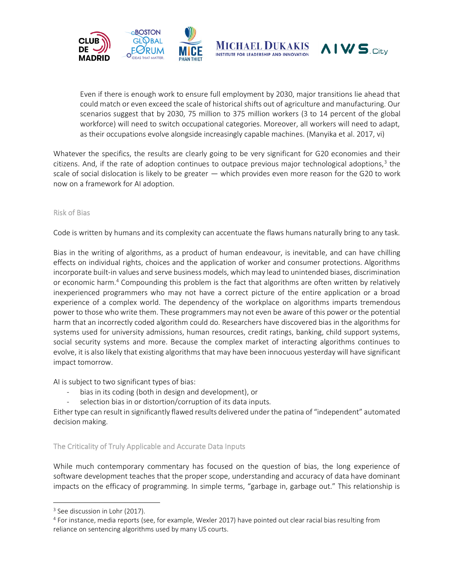

Even if there is enough work to ensure full employment by 2030, major transitions lie ahead that could match or even exceed the scale of historical shifts out of agriculture and manufacturing. Our scenarios suggest that by 2030, 75 million to 375 million workers (3 to 14 percent of the global workforce) will need to switch occupational categories. Moreover, all workers will need to adapt, as their occupations evolve alongside increasingly capable machines. (Manyika et al. 2017, vi)

Whatever the specifics, the results are clearly going to be very significant for G20 economies and their citizens. And, if the rate of adoption continues to outpace previous major technological adoptions,<sup>3</sup> the scale of social dislocation is likely to be greater  $-$  which provides even more reason for the G20 to work now on a framework for AI adoption.

#### Risk of Bias

Code is written by humans and its complexity can accentuate the flaws humans naturally bring to any task.

Bias in the writing of algorithms, as a product of human endeavour, is inevitable, and can have chilling effects on individual rights, choices and the application of worker and consumer protections. Algorithms incorporate built-in values and serve business models, which may lead to unintended biases, discrimination or economic harm.<sup>4</sup> Compounding this problem is the fact that algorithms are often written by relatively inexperienced programmers who may not have a correct picture of the entire application or a broad experience of a complex world. The dependency of the workplace on algorithms imparts tremendous power to those who write them. These programmers may not even be aware of this power or the potential harm that an incorrectly coded algorithm could do. Researchers have discovered bias in the algorithms for systems used for university admissions, human resources, credit ratings, banking, child support systems, social security systems and more. Because the complex market of interacting algorithms continues to evolve, it is also likely that existing algorithms that may have been innocuous yesterday will have significant impact tomorrow.

AI is subject to two significant types of bias:

- bias in its coding (both in design and development), or
- selection bias in or distortion/corruption of its data inputs.

Either type can result in significantly flawed results delivered under the patina of "independent" automated decision making.

#### The Criticality of Truly Applicable and Accurate Data Inputs

While much contemporary commentary has focused on the question of bias, the long experience of software development teaches that the proper scope, understanding and accuracy of data have dominant impacts on the efficacy of programming. In simple terms, "garbage in, garbage out." This relationship is

<sup>&</sup>lt;sup>3</sup> See discussion in Lohr (2017).

<sup>4</sup> For instance, media reports (see, for example, Wexler 2017) have pointed out clear racial bias resulting from reliance on sentencing algorithms used by many US courts.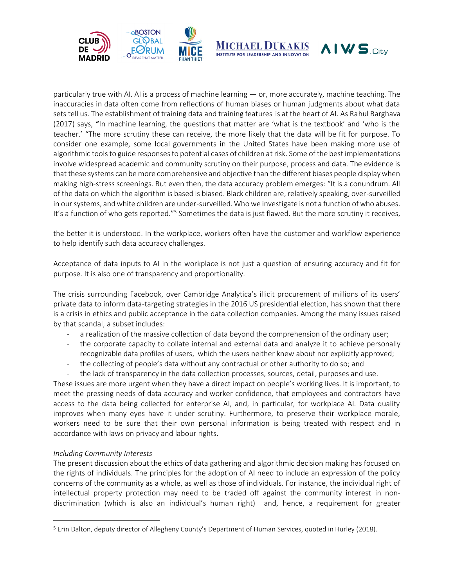

particularly true with AI. AI is a process of machine learning — or, more accurately, machine teaching. The inaccuracies in data often come from reflections of human biases or human judgments about what data sets tell us. The establishment of training data and training features is at the heart of AI. As Rahul Barghava (2017) says, "In machine learning, the questions that matter are 'what is the textbook' and 'who is the teacher.' "The more scrutiny these can receive, the more likely that the data will be fit for purpose. To consider one example, some local governments in the United States have been making more use of algorithmic tools to guide responses to potential cases of children at risk. Some of the best implementations involve widespread academic and community scrutiny on their purpose, process and data. The evidence is that these systems can be more comprehensive and objective than the different biases people display when making high-stress screenings. But even then, the data accuracy problem emerges: "It is a conundrum. All of the data on which the algorithm is based is biased. Black children are, relatively speaking, over-surveilled in our systems, and white children are under-surveilled. Who we investigate is not a function of who abuses. It's a function of who gets reported."<sup>5</sup> Sometimes the data is just flawed. But the more scrutiny it receives,

the better it is understood. In the workplace, workers often have the customer and workflow experience to help identify such data accuracy challenges.

Acceptance of data inputs to AI in the workplace is not just a question of ensuring accuracy and fit for purpose. It is also one of transparency and proportionality.

The crisis surrounding Facebook, over Cambridge Analytica's illicit procurement of millions of its users' private data to inform data-targeting strategies in the 2016 US presidential election, has shown that there is a crisis in ethics and public acceptance in the data collection companies. Among the many issues raised by that scandal, a subset includes:

- a realization of the massive collection of data beyond the comprehension of the ordinary user;
- the corporate capacity to collate internal and external data and analyze it to achieve personally recognizable data profiles of users, which the users neither knew about nor explicitly approved;
- the collecting of people's data without any contractual or other authority to do so; and
- the lack of transparency in the data collection processes, sources, detail, purposes and use.

These issues are more urgent when they have a direct impact on people's working lives. It is important, to meet the pressing needs of data accuracy and worker confidence, that employees and contractors have access to the data being collected for enterprise AI, and, in particular, for workplace AI. Data quality improves when many eyes have it under scrutiny. Furthermore, to preserve their workplace morale, workers need to be sure that their own personal information is being treated with respect and in accordance with laws on privacy and labour rights.

#### *Including Community Interests*

The present discussion about the ethics of data gathering and algorithmic decision making has focused on the rights of individuals. The principles for the adoption of AI need to include an expression of the policy concerns of the community as a whole, as well as those of individuals. For instance, the individual right of intellectual property protection may need to be traded off against the community interest in nondiscrimination (which is also an individual's human right) and, hence, a requirement for greater

<sup>5</sup> Erin Dalton, deputy director of Allegheny County's Department of Human Services, quoted in Hurley (2018).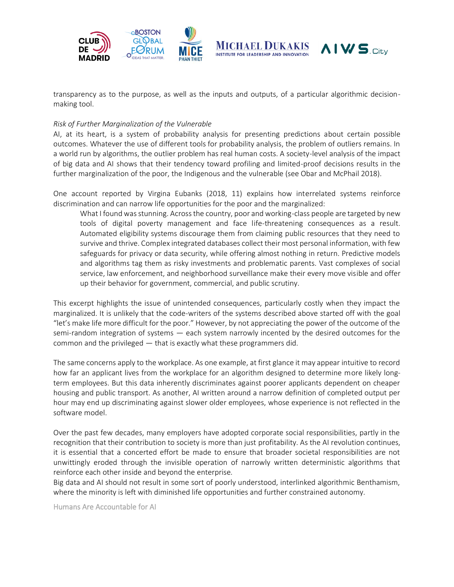

transparency as to the purpose, as well as the inputs and outputs, of a particular algorithmic decisionmaking tool.

#### *Risk of Further Marginalization of the Vulnerable*

AI, at its heart, is a system of probability analysis for presenting predictions about certain possible outcomes. Whatever the use of different tools for probability analysis, the problem of outliers remains. In a world run by algorithms, the outlier problem has real human costs. A society-level analysis of the impact of big data and AI shows that their tendency toward profiling and limited-proof decisions results in the further marginalization of the poor, the Indigenous and the vulnerable (see Obar and McPhail 2018).

One account reported by Virgina Eubanks (2018, 11) explains how interrelated systems reinforce discrimination and can narrow life opportunities for the poor and the marginalized:

What I found was stunning. Across the country, poor and working-class people are targeted by new tools of digital poverty management and face life-threatening consequences as a result. Automated eligibility systems discourage them from claiming public resources that they need to survive and thrive. Complex integrated databases collect their most personal information, with few safeguards for privacy or data security, while offering almost nothing in return. Predictive models and algorithms tag them as risky investments and problematic parents. Vast complexes of social service, law enforcement, and neighborhood surveillance make their every move visible and offer up their behavior for government, commercial, and public scrutiny.

This excerpt highlights the issue of unintended consequences, particularly costly when they impact the marginalized. It is unlikely that the code-writers of the systems described above started off with the goal "let's make life more difficult for the poor." However, by not appreciating the power of the outcome of the semi-random integration of systems — each system narrowly incented by the desired outcomes for the common and the privileged — that is exactly what these programmers did.

The same concerns apply to the workplace. As one example, at first glance it may appear intuitive to record how far an applicant lives from the workplace for an algorithm designed to determine more likely longterm employees. But this data inherently discriminates against poorer applicants dependent on cheaper housing and public transport. As another, AI written around a narrow definition of completed output per hour may end up discriminating against slower older employees, whose experience is not reflected in the software model.

Over the past few decades, many employers have adopted corporate social responsibilities, partly in the recognition that their contribution to society is more than just profitability. As the AI revolution continues, it is essential that a concerted effort be made to ensure that broader societal responsibilities are not unwittingly eroded through the invisible operation of narrowly written deterministic algorithms that reinforce each other inside and beyond the enterprise.

Big data and AI should not result in some sort of poorly understood, interlinked algorithmic Benthamism, where the minority is left with diminished life opportunities and further constrained autonomy.

Humans Are Accountable for AI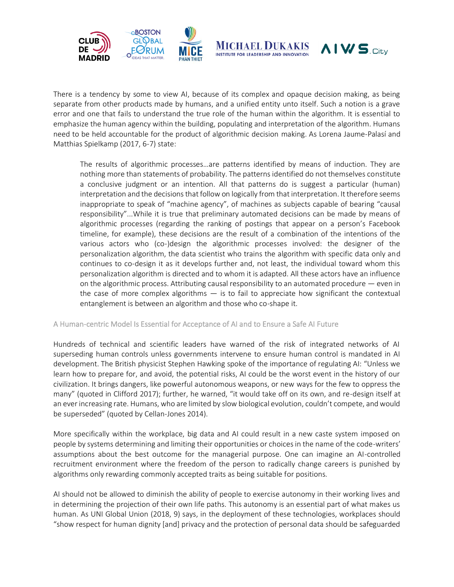

There is a tendency by some to view AI, because of its complex and opaque decision making, as being separate from other products made by humans, and a unified entity unto itself. Such a notion is a grave error and one that fails to understand the true role of the human within the algorithm. It is essential to emphasize the human agency within the building, populating and interpretation of the algorithm. Humans need to be held accountable for the product of algorithmic decision making. As Lorena Jaume-Palasí and Matthias Spielkamp (2017, 6-7) state:

The results of algorithmic processes…are patterns identified by means of induction. They are nothing more than statements of probability. The patterns identified do not themselves constitute a conclusive judgment or an intention. All that patterns do is suggest a particular (human) interpretation and the decisions that follow on logically from that interpretation. It therefore seems inappropriate to speak of "machine agency", of machines as subjects capable of bearing "causal responsibility"...While it is true that preliminary automated decisions can be made by means of algorithmic processes (regarding the ranking of postings that appear on a person's Facebook timeline, for example), these decisions are the result of a combination of the intentions of the various actors who (co-)design the algorithmic processes involved: the designer of the personalization algorithm, the data scientist who trains the algorithm with specific data only and continues to co-design it as it develops further and, not least, the individual toward whom this personalization algorithm is directed and to whom it is adapted. All these actors have an influence on the algorithmic process. Attributing causal responsibility to an automated procedure  $-$  even in the case of more complex algorithms — is to fail to appreciate how significant the contextual entanglement is between an algorithm and those who co-shape it.

#### A Human-centric Model Is Essential for Acceptance of AI and to Ensure a Safe AI Future

Hundreds of technical and scientific leaders have warned of the risk of integrated networks of AI superseding human controls unless governments intervene to ensure human control is mandated in AI development. The British physicist Stephen Hawking spoke of the importance of regulating AI: "Unless we learn how to prepare for, and avoid, the potential risks, AI could be the worst event in the history of our civilization. It brings dangers, like powerful autonomous weapons, or new ways for the few to oppress the many" (quoted in Clifford 2017); further, he warned, "it would take off on its own, and re-design itself at an ever increasing rate. Humans, who are limited by slow biological evolution, couldn't compete, and would be superseded" (quoted by Cellan-Jones 2014).

More specifically within the workplace, big data and AI could result in a new caste system imposed on people by systems determining and limiting their opportunities or choices in the name of the code-writers' assumptions about the best outcome for the managerial purpose. One can imagine an AI-controlled recruitment environment where the freedom of the person to radically change careers is punished by algorithms only rewarding commonly accepted traits as being suitable for positions.

AI should not be allowed to diminish the ability of people to exercise autonomy in their working lives and in determining the projection of their own life paths. This autonomy is an essential part of what makes us human. As UNI Global Union (2018, 9) says, in the deployment of these technologies, workplaces should "show respect for human dignity [and] privacy and the protection of personal data should be safeguarded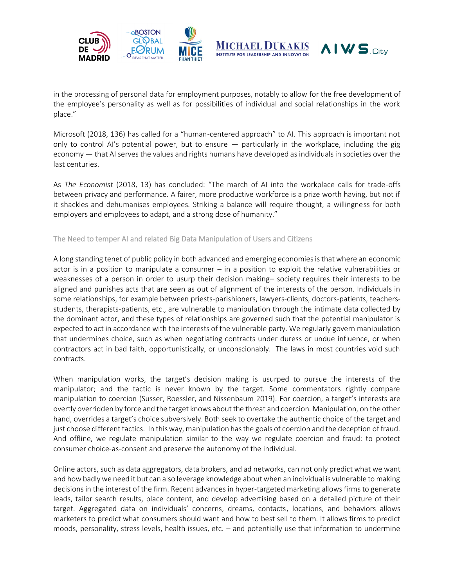

in the processing of personal data for employment purposes, notably to allow for the free development of the employee's personality as well as for possibilities of individual and social relationships in the work place."

Microsoft (2018, 136) has called for a "human-centered approach" to AI. This approach is important not only to control AI's potential power, but to ensure — particularly in the workplace, including the gig economy — that AI serves the values and rights humans have developed as individuals in societies over the last centuries.

As *The Economist* (2018, 13) has concluded: "The march of AI into the workplace calls for trade-offs between privacy and performance. A fairer, more productive workforce is a prize worth having, but not if it shackles and dehumanises employees. Striking a balance will require thought, a willingness for both employers and employees to adapt, and a strong dose of humanity."

#### The Need to temper AI and related Big Data Manipulation of Users and Citizens

A long standing tenet of public policy in both advanced and emerging economies is that where an economic actor is in a position to manipulate a consumer – in a position to exploit the relative vulnerabilities or weaknesses of a person in order to usurp their decision making– society requires their interests to be aligned and punishes acts that are seen as out of alignment of the interests of the person. Individuals in some relationships, for example between priests-parishioners, lawyers-clients, doctors-patients, teachersstudents, therapists-patients, etc., are vulnerable to manipulation through the intimate data collected by the dominant actor, and these types of relationships are governed such that the potential manipulator is expected to act in accordance with the interests of the vulnerable party. We regularly govern manipulation that undermines choice, such as when negotiating contracts under duress or undue influence, or when contractors act in bad faith, opportunistically, or unconscionably. The laws in most countries void such contracts.

When manipulation works, the target's decision making is usurped to pursue the interests of the manipulator; and the tactic is never known by the target. Some commentators rightly compare manipulation to coercion (Susser, Roessler, and Nissenbaum 2019). For coercion, a target's interests are overtly overridden by force and the target knows about the threat and coercion. Manipulation, on the other hand, overrides a target's choice subversively. Both seek to overtake the authentic choice of the target and just choose different tactics. In this way, manipulation has the goals of coercion and the deception of fraud. And offline, we regulate manipulation similar to the way we regulate coercion and fraud: to protect consumer choice-as-consent and preserve the autonomy of the individual.

Online actors, such as data aggregators, data brokers, and ad networks, can not only predict what we want and how badly we need it but can also leverage knowledge about when an individual is vulnerable to making decisions in the interest of the firm. Recent advances in hyper-targeted marketing allows firms to generate leads, tailor search results, place content, and develop advertising based on a detailed picture of their target. Aggregated data on individuals' concerns, dreams, contacts, locations, and behaviors allows marketers to predict what consumers should want and how to best sell to them. It allows firms to predict moods, personality, stress levels, health issues, etc. – and potentially use that information to undermine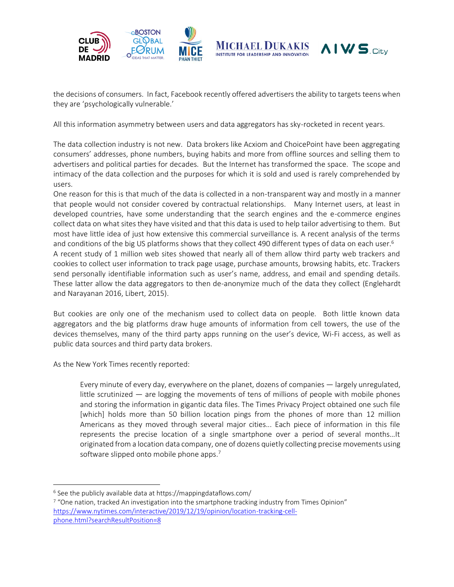

the decisions of consumers. In fact, Facebook recently offered advertisers the ability to targets teens when they are 'psychologically vulnerable.'

All this information asymmetry between users and data aggregators has sky-rocketed in recent years.

The data collection industry is not new. Data brokers like Acxiom and ChoicePoint have been aggregating consumers' addresses, phone numbers, buying habits and more from offline sources and selling them to advertisers and political parties for decades. But the Internet has transformed the space. The scope and intimacy of the data collection and the purposes for which it is sold and used is rarely comprehended by users.

One reason for this is that much of the data is collected in a non-transparent way and mostly in a manner that people would not consider covered by contractual relationships. Many Internet users, at least in developed countries, have some understanding that the search engines and the e-commerce engines collect data on what sites they have visited and that this data is used to help tailor advertising to them. But most have little idea of just how extensive this commercial surveillance is. A recent analysis of the terms and conditions of the big US platforms shows that they collect 490 different types of data on each user.<sup>6</sup> A recent study of 1 million web sites showed that nearly all of them allow third party web trackers and cookies to collect user information to track page usage, purchase amounts, browsing habits, etc. Trackers send personally identifiable information such as user's name, address, and email and spending details. These latter allow the data aggregators to then de-anonymize much of the data they collect (Englehardt and Narayanan 2016, Libert, 2015).

But cookies are only one of the mechanism used to collect data on people. Both little known data aggregators and the big platforms draw huge amounts of information from cell towers, the use of the devices themselves, many of the third party apps running on the user's device, Wi-Fi access, as well as public data sources and third party data brokers.

As the New York Times recently reported:

Every minute of every day, everywhere on the planet, dozens of companies — largely unregulated, little scrutinized — are logging the movements of tens of millions of people with mobile phones and storing the information in gigantic data files. The Times Privacy Project obtained one such file [which] holds more than 50 billion location pings from the phones of more than 12 million Americans as they moved through several major cities... Each piece of information in this file represents the precise location of a single smartphone over a period of several months…It originated from a location data company, one of dozens quietly collecting precise movements using software slipped onto mobile phone apps.<sup>7</sup>

<sup>6</sup> See the publicly available data at https://mappingdataflows.com/

 $7$  "One nation, tracked An investigation into the smartphone tracking industry from Times Opinion" [https://www.nytimes.com/interactive/2019/12/19/opinion/location-tracking-cell](https://www.nytimes.com/interactive/2019/12/19/opinion/location-tracking-cell-phone.html?searchResultPosition=8)[phone.html?searchResultPosition=8](https://www.nytimes.com/interactive/2019/12/19/opinion/location-tracking-cell-phone.html?searchResultPosition=8)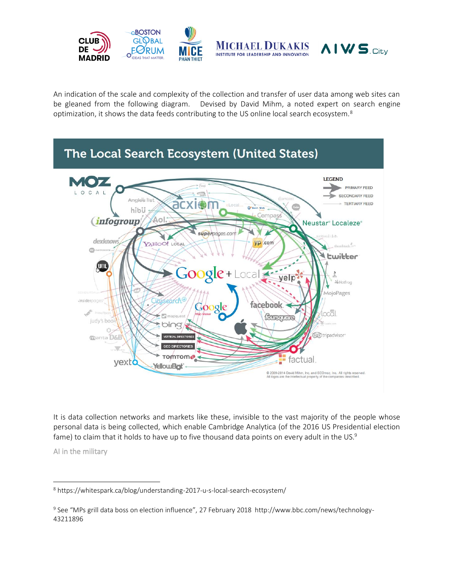

An indication of the scale and complexity of the collection and transfer of user data among web sites can be gleaned from the following diagram. Devised by David Mihm, a noted expert on search engine optimization, it shows the data feeds contributing to the US online local search ecosystem.<sup>8</sup>



It is data collection networks and markets like these, invisible to the vast majority of the people whose personal data is being collected, which enable Cambridge Analytica (of the 2016 US Presidential election fame) to claim that it holds to have up to five thousand data points on every adult in the US.<sup>9</sup>

AI in the military

<sup>8</sup> https://whitespark.ca/blog/understanding-2017-u-s-local-search-ecosystem/

<sup>9</sup> See "MPs grill data boss on election influence", 27 February 2018 http://www.bbc.com/news/technology-43211896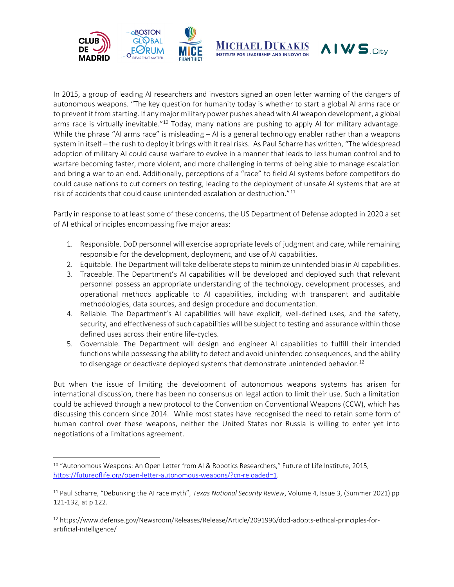

In 2015, a group of leading AI researchers and investors signed an open letter warning of the dangers of autonomous weapons. "The key question for humanity today is whether to start a global AI arms race or to prevent it from starting. If any major military power pushes ahead with AI weapon development, a global arms race is virtually inevitable."<sup>10</sup> Today, many nations are pushing to apply AI for military advantage. While the phrase "AI arms race" is misleading – AI is a general technology enabler rather than a weapons system in itself – the rush to deploy it brings with it real risks. As Paul Scharre has written, "The widespread adoption of military AI could cause warfare to evolve in a manner that leads to less human control and to warfare becoming faster, more violent, and more challenging in terms of being able to manage escalation and bring a war to an end. Additionally, perceptions of a "race" to field AI systems before competitors do could cause nations to cut corners on testing, leading to the deployment of unsafe AI systems that are at risk of accidents that could cause unintended escalation or destruction."<sup>11</sup>

Partly in response to at least some of these concerns, the US Department of Defense adopted in 2020 a set of AI ethical principles encompassing five major areas:

- 1. Responsible. DoD personnel will exercise appropriate levels of judgment and care, while remaining responsible for the development, deployment, and use of AI capabilities.
- 2. Equitable. The Department will take deliberate steps to minimize unintended bias in AI capabilities.
- 3. Traceable. The Department's AI capabilities will be developed and deployed such that relevant personnel possess an appropriate understanding of the technology, development processes, and operational methods applicable to AI capabilities, including with transparent and auditable methodologies, data sources, and design procedure and documentation.
- 4. Reliable. The Department's AI capabilities will have explicit, well-defined uses, and the safety, security, and effectiveness of such capabilities will be subject to testing and assurance within those defined uses across their entire life-cycles.
- 5. Governable. The Department will design and engineer AI capabilities to fulfill their intended functions while possessing the ability to detect and avoid unintended consequences, and the ability to disengage or deactivate deployed systems that demonstrate unintended behavior.<sup>12</sup>

But when the issue of limiting the development of autonomous weapons systems has arisen for international discussion, there has been no consensus on legal action to limit their use. Such a limitation could be achieved through a new protocol to the Convention on Conventional Weapons (CCW), which has discussing this concern since 2014. While most states have recognised the need to retain some form of human control over these weapons, neither the United States nor Russia is willing to enter yet into negotiations of a limitations agreement.

<sup>&</sup>lt;sup>10</sup> "Autonomous Weapons: An Open Letter from AI & Robotics Researchers," Future of Life Institute, 2015, [https://futureoflife.org/open-letter-autonomous-weapons/?cn-reloaded=1.](https://futureoflife.org/open-letter-autonomous-weapons/?cn-reloaded=1)

<sup>11</sup> Paul Scharre, "Debunking the AI race myth", *Texas National Security Review*, Volume 4, Issue 3, (Summer 2021) pp 121-132, at p 122.

<sup>12</sup> https://www.defense.gov/Newsroom/Releases/Release/Article/2091996/dod-adopts-ethical-principles-forartificial-intelligence/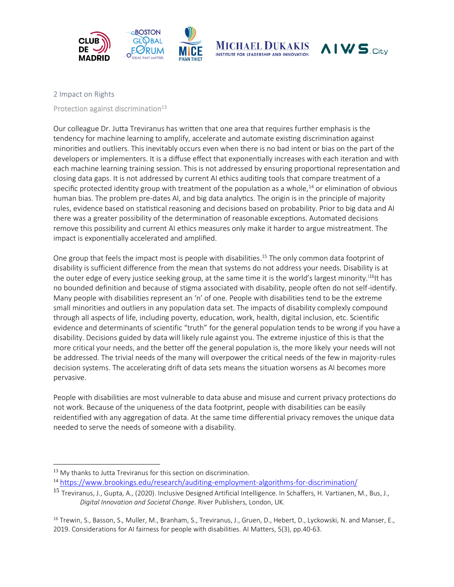

#### 2 Impact on Rights

Protection against discrimination<sup>13</sup>

Our colleague Dr. Jutta Treviranus has written that one area that requires further emphasis is the tendency for machine learning to amplify, accelerate and automate existing discrimination against minorities and outliers. This inevitably occurs even when there is no bad intent or bias on the part of the developers or implementers. It is a diffuse effect that exponentially increases with each iteration and with each machine learning training session. This is not addressed by ensuring proportional representation and closing data gaps. It is not addressed by current AI ethics auditing tools that compare treatment of a specific protected identity group with treatment of the population as a whole, $14$  or elimination of obvious human bias. The problem pre-dates AI, and big data analytics. The origin is in the principle of majority rules, evidence based on statistical reasoning and decisions based on probability. Prior to big data and AI there was a greater possibility of the determination of reasonable exceptions. Automated decisions remove this possibility and current AI ethics measures only make it harder to argue mistreatment. The impact is exponentially accelerated and amplified.

One group that feels the impact most is people with disabilities.<sup>15</sup> The only common data footprint of disability is sufficient difference from the mean that systems do not address your needs. Disability is at the outer edge of every justice seeking group, at the same time it is the world's largest minority.<sup>116</sup>It has no bounded definition and because of stigma associated with disability, people often do not self-identify. Many people with disabilities represent an 'n' of one. People with disabilities tend to be the extreme small minorities and outliers in any population data set. The impacts of disability complexly compound through all aspects of life, including poverty, education, work, health, digital inclusion, etc. Scientific evidence and determinants of scientific "truth" for the general population tends to be wrong if you have a disability. Decisions guided by data will likely rule against you. The extreme injustice of this is that the more critical your needs, and the better off the general population is, the more likely your needs will not be addressed. The trivial needs of the many will overpower the critical needs of the few in majority-rules decision systems. The accelerating drift of data sets means the situation worsens as AI becomes more pervasive.

People with disabilities are most vulnerable to data abuse and misuse and current privacy protections do not work. Because of the uniqueness of the data footprint, people with disabilities can be easily reidentified with any aggregation of data. At the same time differential privacy removes the unique data needed to serve the needs of someone with a disability.

<sup>&</sup>lt;sup>13</sup> My thanks to Jutta Treviranus for this section on discrimination.

<sup>14</sup> <https://www.brookings.edu/research/auditing-employment-algorithms-for-discrimination/>

<sup>&</sup>lt;sup>15</sup> Treviranus, J., Gupta, A., (2020). Inclusive Designed Artificial Intelligence. In Schaffers, H. Vartianen, M., Bus, J., *Digital Innovation and Societal Change*. River Publishers, London, UK.

<sup>&</sup>lt;sup>16</sup> Trewin, S., Basson, S., Muller, M., Branham, S., Treviranus, J., Gruen, D., Hebert, D., Lyckowski, N. and Manser, E., 2019. Considerations for AI fairness for people with disabilities. AI Matters, 5(3), pp.40-63.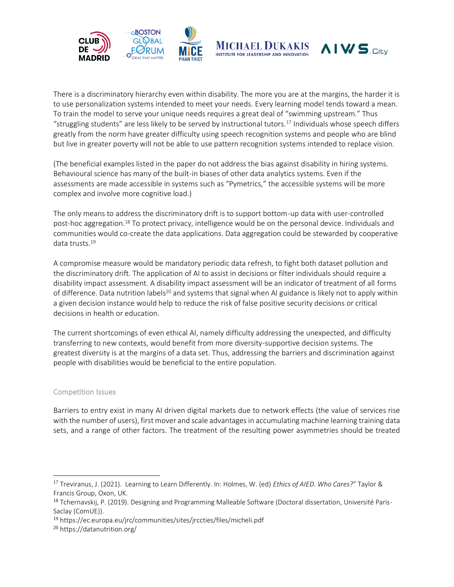

There is a discriminatory hierarchy even within disability. The more you are at the margins, the harder it is to use personalization systems intended to meet your needs. Every learning model tends toward a mean. To train the model to serve your unique needs requires a great deal of "swimming upstream." Thus "struggling students" are less likely to be served by instructional tutors.<sup>17</sup> Individuals whose speech differs greatly from the norm have greater difficulty using speech recognition systems and people who are blind but live in greater poverty will not be able to use pattern recognition systems intended to replace vision.

(The beneficial examples listed in the paper do not address the bias against disability in hiring systems. Behavioural science has many of the built-in biases of other data analytics systems. Even if the assessments are made accessible in systems such as "Pymetrics," the accessible systems will be more complex and involve more cognitive load.)

The only means to address the discriminatory drift is to support bottom-up data with user-controlled post-hoc aggregation.<sup>18</sup> To protect privacy, intelligence would be on the personal device. Individuals and communities would co-create the data applications. Data aggregation could be stewarded by cooperative data trusts.<sup>19</sup>

A compromise measure would be mandatory periodic data refresh, to fight both dataset pollution and the discriminatory drift. The application of AI to assist in decisions or filter individuals should require a disability impact assessment. A disability impact assessment will be an indicator of treatment of all forms of difference. Data nutrition labels<sup>20</sup> and systems that signal when AI guidance is likely not to apply within a given decision instance would help to reduce the risk of false positive security decisions or critical decisions in health or education.

The current shortcomings of even ethical AI, namely difficulty addressing the unexpected, and difficulty transferring to new contexts, would benefit from more diversity-supportive decision systems. The greatest diversity is at the margins of a data set. Thus, addressing the barriers and discrimination against people with disabilities would be beneficial to the entire population.

#### Competition Issues

Barriers to entry exist in many AI driven digital markets due to network effects (the value of services rise with the number of users), first mover and scale advantages in accumulating machine learning training data sets, and a range of other factors. The treatment of the resulting power asymmetries should be treated

<sup>17</sup> Treviranus, J. (2021). Learning to Learn Differently. In: Holmes, W. (ed) *Ethics of AIED. Who Cares?*" Taylor & Francis Group, Oxon, UK.

<sup>&</sup>lt;sup>18</sup> Tchernavskij, P. (2019). Designing and Programming Malleable Software (Doctoral dissertation, Université Paris-Saclay (ComUE)).

<sup>19</sup> https://ec.europa.eu/jrc/communities/sites/jrccties/files/micheli.pdf

<sup>20</sup> https://datanutrition.org/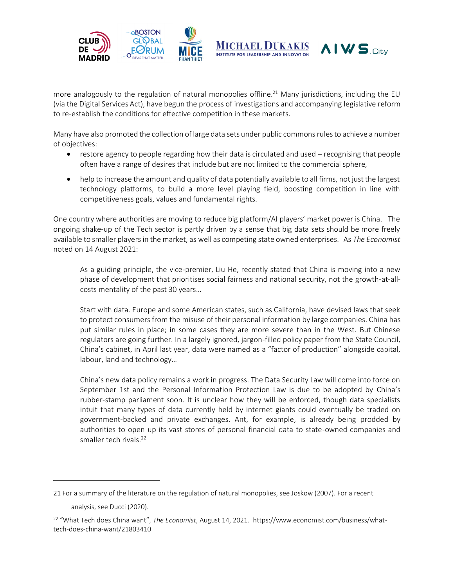

more analogously to the regulation of natural monopolies offline.<sup>21</sup> Many jurisdictions, including the EU (via the Digital Services Act), have begun the process of investigations and accompanying legislative reform to re-establish the conditions for effective competition in these markets.

Many have also promoted the collection of large data sets under public commons rules to achieve a number of objectives:

- restore agency to people regarding how their data is circulated and used recognising that people often have a range of desires that include but are not limited to the commercial sphere,
- help to increase the amount and quality of data potentially available to all firms, not just the largest technology platforms, to build a more level playing field, boosting competition in line with competitiveness goals, values and fundamental rights.

One country where authorities are moving to reduce big platform/AI players' market power is China. The ongoing shake-up of the Tech sector is partly driven by a sense that big data sets should be more freely available to smaller players in the market, as well as competing state owned enterprises. As *The Economist* noted on 14 August 2021:

As a guiding principle, the vice-premier, Liu He, recently stated that China is moving into a new phase of development that prioritises social fairness and national security, not the growth-at-allcosts mentality of the past 30 years…

Start with data. Europe and some American states, such as California, have devised laws that seek to protect consumers from the misuse of their personal information by large companies. China has put similar rules in place; in some cases they are more severe than in the West. But Chinese regulators are going further. In a largely ignored, jargon-filled policy paper from the State Council, China's cabinet, in April last year, data were named as a "factor of production" alongside capital, labour, land and technology…

China's new data policy remains a work in progress. The Data Security Law will come into force on September 1st and the Personal Information Protection Law is due to be adopted by China's rubber-stamp parliament soon. It is unclear how they will be enforced, though data specialists intuit that many types of data currently held by internet giants could eventually be traded on government-backed and private exchanges. Ant, for example, is already being prodded by authorities to open up its vast stores of personal financial data to state-owned companies and smaller tech rivals.<sup>22</sup>

<sup>21</sup> For a summary of the literature on the regulation of natural monopolies, see Joskow (2007). For a recent analysis, see Ducci (2020).

<sup>22</sup> "What Tech does China want", *The Economist*, August 14, 2021. https://www.economist.com/business/whattech-does-china-want/21803410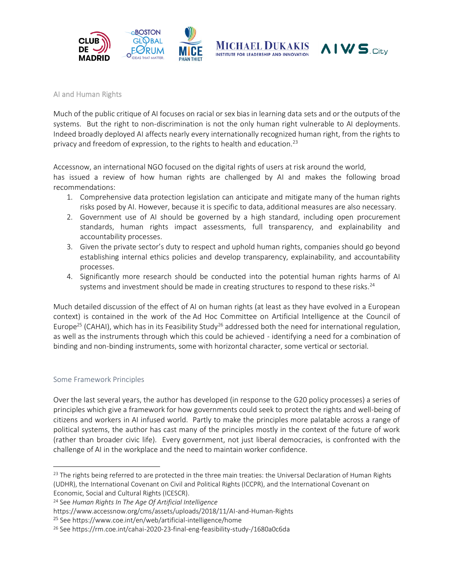

#### AI and Human Rights

Much of the public critique of AI focuses on racial or sex bias in learning data sets and or the outputs of the systems. But the right to non-discrimination is not the only human right vulnerable to AI deployments. Indeed broadly deployed AI affects nearly every internationally recognized human right, from the rights to privacy and freedom of expression, to the rights to health and education.<sup>23</sup>

Accessnow, an international NGO focused on the digital rights of users at risk around the world,

has issued a review of how human rights are challenged by AI and makes the following broad recommendations:

- 1. Comprehensive data protection legislation can anticipate and mitigate many of the human rights risks posed by AI. However, because it is specific to data, additional measures are also necessary.
- 2. Government use of AI should be governed by a high standard, including open procurement standards, human rights impact assessments, full transparency, and explainability and accountability processes.
- 3. Given the private sector's duty to respect and uphold human rights, companies should go beyond establishing internal ethics policies and develop transparency, explainability, and accountability processes.
- 4. Significantly more research should be conducted into the potential human rights harms of AI systems and investment should be made in creating structures to respond to these risks. $24$

Much detailed discussion of the effect of AI on human rights (at least as they have evolved in a European context) is contained in the work of the Ad Hoc Committee on Artificial Intelligence at the Council of Europe<sup>25</sup> (CAHAI), which has in its Feasibility Study<sup>26</sup> addressed both the need for international regulation, as well as the instruments through which this could be achieved - identifying a need for a combination of binding and non-binding instruments, some with horizontal character, some vertical or sectorial.

#### Some Framework Principles

Over the last several years, the author has developed (in response to the G20 policy processes) a series of principles which give a framework for how governments could seek to protect the rights and well-being of citizens and workers in AI infused world. Partly to make the principles more palatable across a range of political systems, the author has cast many of the principles mostly in the context of the future of work (rather than broader civic life). Every government, not just liberal democracies, is confronted with the challenge of AI in the workplace and the need to maintain worker confidence.

<sup>&</sup>lt;sup>23</sup> The rights being referred to are protected in the three main treaties: the Universal Declaration of Human Rights (UDHR), the International Covenant on Civil and Political Rights (ICCPR), and the International Covenant on Economic, Social and Cultural Rights (ICESCR).

<sup>24</sup> See *Human Rights In The Age Of Artificial Intelligence* 

https://www.accessnow.org/cms/assets/uploads/2018/11/AI-and-Human-Rights

 $25$  See https://www.coe.int/en/web/artificial-intelligence/home

<sup>26</sup> See https://rm.coe.int/cahai-2020-23-final-eng-feasibility-study-/1680a0c6da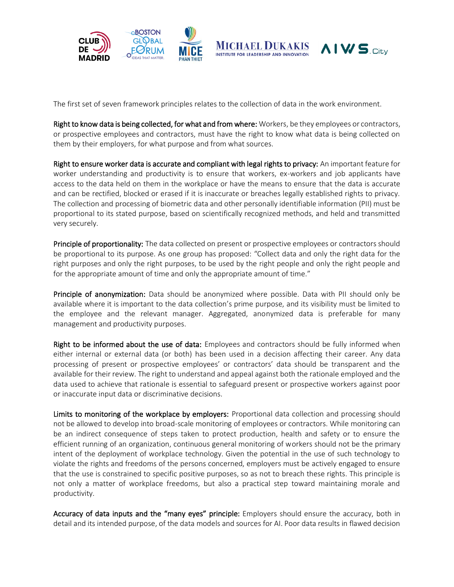

The first set of seven framework principles relates to the collection of data in the work environment.

Right to know data is being collected, for what and from where: Workers, be they employees or contractors, or prospective employees and contractors, must have the right to know what data is being collected on them by their employers, for what purpose and from what sources.

Right to ensure worker data is accurate and compliant with legal rights to privacy: An important feature for worker understanding and productivity is to ensure that workers, ex-workers and job applicants have access to the data held on them in the workplace or have the means to ensure that the data is accurate and can be rectified, blocked or erased if it is inaccurate or breaches legally established rights to privacy. The collection and processing of biometric data and other personally identifiable information (PII) must be proportional to its stated purpose, based on scientifically recognized methods, and held and transmitted very securely.

Principle of proportionality: The data collected on present or prospective employees or contractors should be proportional to its purpose. As one group has proposed: "Collect data and only the right data for the right purposes and only the right purposes, to be used by the right people and only the right people and for the appropriate amount of time and only the appropriate amount of time."

Principle of anonymization: Data should be anonymized where possible. Data with PII should only be available where it is important to the data collection's prime purpose, and its visibility must be limited to the employee and the relevant manager. Aggregated, anonymized data is preferable for many management and productivity purposes.

Right to be informed about the use of data: Employees and contractors should be fully informed when either internal or external data (or both) has been used in a decision affecting their career. Any data processing of present or prospective employees' or contractors' data should be transparent and the available for their review. The right to understand and appeal against both the rationale employed and the data used to achieve that rationale is essential to safeguard present or prospective workers against poor or inaccurate input data or discriminative decisions.

Limits to monitoring of the workplace by employers: Proportional data collection and processing should not be allowed to develop into broad-scale monitoring of employees or contractors. While monitoring can be an indirect consequence of steps taken to protect production, health and safety or to ensure the efficient running of an organization, continuous general monitoring of workers should not be the primary intent of the deployment of workplace technology. Given the potential in the use of such technology to violate the rights and freedoms of the persons concerned, employers must be actively engaged to ensure that the use is constrained to specific positive purposes, so as not to breach these rights. This principle is not only a matter of workplace freedoms, but also a practical step toward maintaining morale and productivity.

Accuracy of data inputs and the "many eyes" principle: Employers should ensure the accuracy, both in detail and its intended purpose, of the data models and sources for AI. Poor data results in flawed decision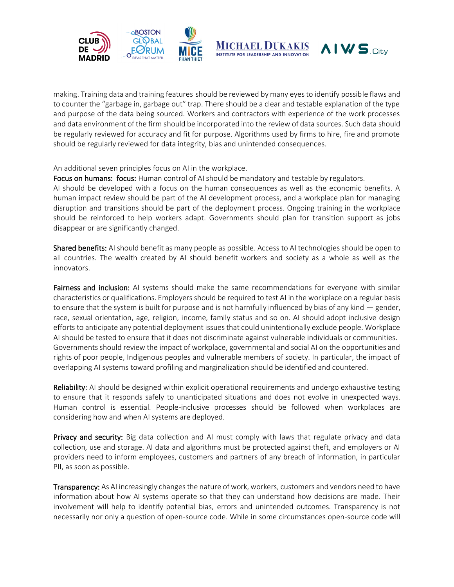

making. Training data and training features  should be reviewed by many eyes to identify possible flaws and to counter the "garbage in, garbage out" trap. There should be a clear and testable explanation of the type and purpose of the data being sourced. Workers and contractors with experience of the work processes and data environment of the firm should be incorporated into the review of data sources. Such data should be regularly reviewed for accuracy and fit for purpose. Algorithms used by firms to hire, fire and promote should be regularly reviewed for data integrity, bias and unintended consequences.

An additional seven principles focus on AI in the workplace.

Focus on humans: focus: Human control of AI should be mandatory and testable by regulators.

AI should be developed with a focus on the human consequences as well as the economic benefits. A human impact review should be part of the AI development process, and a workplace plan for managing disruption and transitions should be part of the deployment process. Ongoing training in the workplace should be reinforced to help workers adapt. Governments should plan for transition support as jobs disappear or are significantly changed.

Shared benefits: AI should benefit as many people as possible. Access to AI technologies should be open to all countries. The wealth created by AI should benefit workers and society as a whole as well as the innovators.

Fairness and inclusion: AI systems should make the same recommendations for everyone with similar characteristics or qualifications. Employers should be required to test AI in the workplace on a regular basis to ensure that the system is built for purpose and is not harmfully influenced by bias of any kind — gender, race, sexual orientation, age, religion, income, family status and so on. AI should adopt inclusive design efforts to anticipate any potential deployment issues that could unintentionally exclude people. Workplace AI should be tested to ensure that it does not discriminate against vulnerable individuals or communities. Governments should review the impact of workplace, governmental and social AI on the opportunities and rights of poor people, Indigenous peoples and vulnerable members of society. In particular, the impact of overlapping AI systems toward profiling and marginalization should be identified and countered.

Reliability: AI should be designed within explicit operational requirements and undergo exhaustive testing to ensure that it responds safely to unanticipated situations and does not evolve in unexpected ways. Human control is essential. People-inclusive processes should be followed when workplaces are considering how and when AI systems are deployed.

Privacy and security: Big data collection and AI must comply with laws that regulate privacy and data collection, use and storage. AI data and algorithms must be protected against theft, and employers or AI providers need to inform employees, customers and partners of any breach of information, in particular PII, as soon as possible.

Transparency: As AI increasingly changes the nature of work, workers, customers and vendors need to have information about how AI systems operate so that they can understand how decisions are made. Their involvement will help to identify potential bias, errors and unintended outcomes. Transparency is not necessarily nor only a question of open-source code. While in some circumstances open-source code will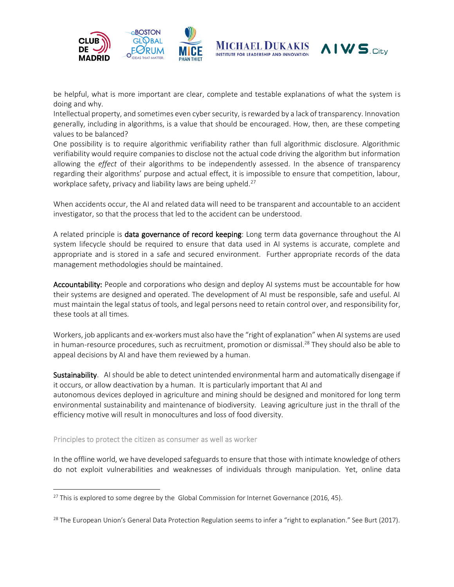

be helpful, what is more important are clear, complete and testable explanations of what the system is doing and why.

Intellectual property, and sometimes even cyber security, is rewarded by a lack of transparency. Innovation generally, including in algorithms, is a value that should be encouraged. How, then, are these competing values to be balanced?

One possibility is to require algorithmic verifiability rather than full algorithmic disclosure. Algorithmic verifiability would require companies to disclose not the actual code driving the algorithm but information allowing the *effect* of their algorithms to be independently assessed. In the absence of transparency regarding their algorithms' purpose and actual effect, it is impossible to ensure that competition, labour, workplace safety, privacy and liability laws are being upheld.<sup>27</sup>

When accidents occur, the AI and related data will need to be transparent and accountable to an accident investigator, so that the process that led to the accident can be understood.

A related principle is **data governance of record keeping**: Long term data governance throughout the AI system lifecycle should be required to ensure that data used in AI systems is accurate, complete and appropriate and is stored in a safe and secured environment. Further appropriate records of the data management methodologies should be maintained.

Accountability: People and corporations who design and deploy AI systems must be accountable for how their systems are designed and operated. The development of AI must be responsible, safe and useful. AI must maintain the legal status of tools, and legal persons need to retain control over, and responsibility for, these tools at all times.

Workers, job applicants and ex-workers must also have the "right of explanation" when AI systems are used in human-resource procedures, such as recruitment, promotion or dismissal.<sup>28</sup> They should also be able to appeal decisions by AI and have them reviewed by a human.

Sustainability. AI should be able to detect unintended environmental harm and automatically disengage if it occurs, or allow deactivation by a human. It is particularly important that AI and autonomous devices deployed in agriculture and mining should be designed and monitored for long term environmental sustainability and maintenance of biodiversity. Leaving agriculture just in the thrall of the efficiency motive will result in monocultures and loss of food diversity.

Principles to protect the citizen as consumer as well as worker

In the offline world, we have developed safeguards to ensure that those with intimate knowledge of others do not exploit vulnerabilities and weaknesses of individuals through manipulation. Yet, online data

<sup>&</sup>lt;sup>27</sup> This is explored to some degree by the Global Commission for Internet Governance (2016, 45).

<sup>&</sup>lt;sup>28</sup> The European Union's [General Data Protection Regulation](https://www.accessnow.org/year-gdpr-becomes-applicable-europe-ready/) seems to infer a "right to explanation." See Burt (2017).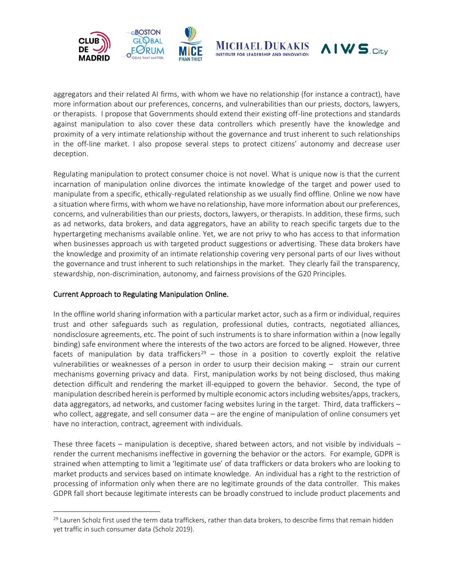

aggregators and their related AI firms, with whom we have no relationship (for instance a contract), have more information about our preferences, concerns, and vulnerabilities than our priests, doctors, lawyers, or therapists. I propose that Governments should extend their existing off-line protections and standards against manipulation to also cover these data controllers which presently have the knowledge and proximity of a very intimate relationship without the governance and trust inherent to such relationships in the off-line market. I also propose several steps to protect citizens' autonomy and decrease user deception.

Regulating manipulation to protect consumer choice is not novel. What is unique now is that the current incarnation of manipulation online divorces the intimate knowledge of the target and power used to manipulate from a specific, ethically-regulated relationship as we usually find offline. Online we now have a situation where firms, with whom we have no relationship, have more information about our preferences, concerns, and vulnerabilities than our priests, doctors, lawyers, or therapists. In addition, these firms, such as ad networks, data brokers, and data aggregators, have an ability to reach specific targets due to the hypertargeting mechanisms available online. Yet, we are not privy to who has access to that information when businesses approach us with targeted product suggestions or advertising. These data brokers have the knowledge and proximity of an intimate relationship covering very personal parts of our lives without the governance and trust inherent to such relationships in the market. They clearly fail the transparency, stewardship, non-discrimination, autonomy, and fairness provisions of the G20 Principles.

#### Current Approach to Regulating Manipulation Online.

In the offline world sharing information with a particular market actor, such as a firm or individual, requires trust and other safeguards such as regulation, professional duties, contracts, negotiated alliances, nondisclosure agreements, etc. The point of such instruments is to share information within a (now legally binding) safe environment where the interests of the two actors are forced to be aligned. However, three facets of manipulation by data traffickers<sup>29</sup> – those in a position to covertly exploit the relative vulnerabilities or weaknesses of a person in order to usurp their decision making – strain our current mechanisms governing privacy and data. First, manipulation works by not being disclosed, thus making detection difficult and rendering the market ill-equipped to govern the behavior. Second, the type of manipulation described herein is performed by multiple economic actors including websites/apps, trackers, data aggregators, ad networks, and customer facing websites luring in the target. Third, data traffickers – who collect, aggregate, and sell consumer data – are the engine of manipulation of online consumers yet have no interaction, contract, agreement with individuals.

These three facets – manipulation is deceptive, shared between actors, and not visible by individuals – render the current mechanisms ineffective in governing the behavior or the actors. For example, GDPR is strained when attempting to limit a 'legitimate use' of data traffickers or data brokers who are looking to market products and services based on intimate knowledge. An individual has a right to the restriction of processing of information only when there are no legitimate grounds of the data controller. This makes GDPR fall short because legitimate interests can be broadly construed to include product placements and

<sup>&</sup>lt;sup>29</sup> Lauren Scholz first used the term data traffickers, rather than data brokers, to describe firms that remain hidden yet traffic in such consumer data (Scholz 2019).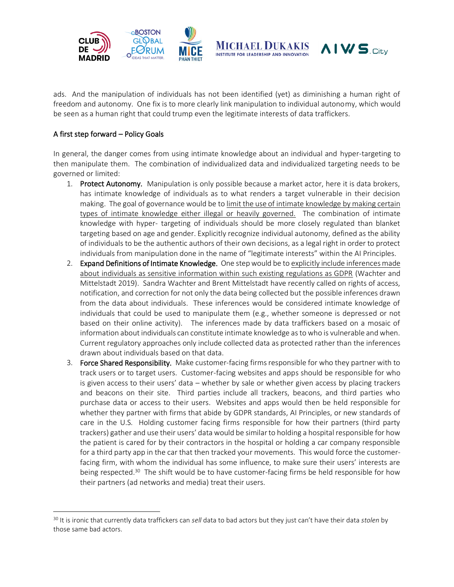

ads. And the manipulation of individuals has not been identified (yet) as diminishing a human right of freedom and autonomy. One fix is to more clearly link manipulation to individual autonomy, which would be seen as a human right that could trump even the legitimate interests of data traffickers.

## A first step forward – Policy Goals

In general, the danger comes from using intimate knowledge about an individual and hyper-targeting to then manipulate them. The combination of individualized data and individualized targeting needs to be governed or limited:

- 1. Protect Autonomy. Manipulation is only possible because a market actor, here it is data brokers, has intimate knowledge of individuals as to what renders a target vulnerable in their decision making. The goal of governance would be to limit the use of intimate knowledge by making certain types of intimate knowledge either illegal or heavily governed. The combination of intimate knowledge with hyper- targeting of individuals should be more closely regulated than blanket targeting based on age and gender. Explicitly recognize individual autonomy, defined as the ability of individuals to be the authentic authors of their own decisions, as a legal right in order to protect individuals from manipulation done in the name of "legitimate interests" within the AI Principles.
- 2. Expand Definitions of Intimate Knowledge. One step would be to explicitly include inferences made about individuals as sensitive information within such existing regulations as GDPR (Wachter and Mittelstadt 2019). Sandra Wachter and Brent Mittelstadt have recently called on rights of access, notification, and correction for not only the data being collected but the possible inferences drawn from the data about individuals. These inferences would be considered intimate knowledge of individuals that could be used to manipulate them (e.g., whether someone is depressed or not based on their online activity). The inferences made by data traffickers based on a mosaic of information about individuals can constitute intimate knowledge as to who is vulnerable and when. Current regulatory approaches only include collected data as protected rather than the inferences drawn about individuals based on that data.
- 3. Force Shared Responsibility. Make customer-facing firms responsible for who they partner with to track users or to target users. Customer-facing websites and apps should be responsible for who is given access to their users' data – whether by sale or whether given access by placing trackers and beacons on their site. Third parties include all trackers, beacons, and third parties who purchase data or access to their users. Websites and apps would then be held responsible for whether they partner with firms that abide by GDPR standards, AI Principles, or new standards of care in the U.S. Holding customer facing firms responsible for how their partners (third party trackers) gather and use their users' data would be similar to holding a hospital responsible for how the patient is cared for by their contractors in the hospital or holding a car company responsible for a third party app in the car that then tracked your movements. This would force the customerfacing firm, with whom the individual has some influence, to make sure their users' interests are being respected.<sup>30</sup> The shift would be to have customer-facing firms be held responsible for how their partners (ad networks and media) treat their users.

<sup>30</sup> It is ironic that currently data traffickers can *sell* data to bad actors but they just can't have their data *stolen* by those same bad actors.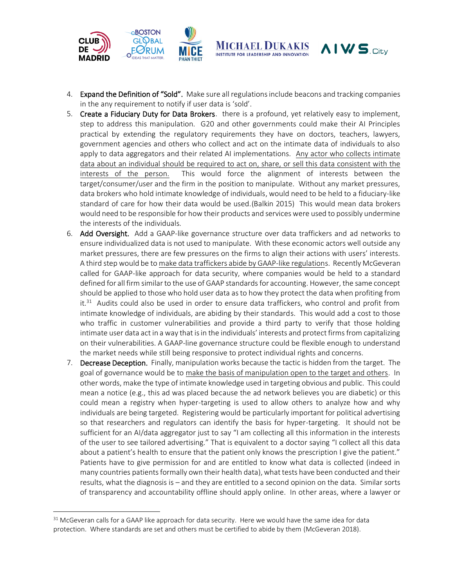

- 4. Expand the Definition of "Sold". Make sure all regulations include beacons and tracking companies in the any requirement to notify if user data is 'sold'.
- 5. Create a Fiduciary Duty for Data Brokers. there is a profound, yet relatively easy to implement, step to address this manipulation. G20 and other governments could make their AI Principles practical by extending the regulatory requirements they have on doctors, teachers, lawyers, government agencies and others who collect and act on the intimate data of individuals to also apply to data aggregators and their related AI implementations. Any actor who collects intimate data about an individual should be required to act on, share, or sell this data consistent with the interests of the person. This would force the alignment of interests between the target/consumer/user and the firm in the position to manipulate. Without any market pressures, data brokers who hold intimate knowledge of individuals, would need to be held to a fiduciary-like standard of care for how their data would be used.(Balkin 2015) This would mean data brokers would need to be responsible for how their products and services were used to possibly undermine the interests of the individuals.
- 6. Add Oversight. Add a GAAP-like governance structure over data traffickers and ad networks to ensure individualized data is not used to manipulate. With these economic actors well outside any market pressures, there are few pressures on the firms to align their actions with users' interests. A third step would be to make data traffickers abide by GAAP-like regulations. Recently McGeveran called for GAAP-like approach for data security, where companies would be held to a standard defined for all firm similar to the use of GAAP standards for accounting. However, the same concept should be applied to those who hold user data as to how they protect the data when profiting from it.<sup>31</sup> Audits could also be used in order to ensure data traffickers, who control and profit from intimate knowledge of individuals, are abiding by their standards. This would add a cost to those who traffic in customer vulnerabilities and provide a third party to verify that those holding intimate user data act in a way that is in the individuals' interests and protect firms from capitalizing on their vulnerabilities. A GAAP-line governance structure could be flexible enough to understand the market needs while still being responsive to protect individual rights and concerns.
- 7. Decrease Deception. Finally, manipulation works because the tactic is hidden from the target. The goal of governance would be to make the basis of manipulation open to the target and others. In other words, make the type of intimate knowledge used in targeting obvious and public. This could mean a notice (e.g., this ad was placed because the ad network believes you are diabetic) or this could mean a registry when hyper-targeting is used to allow others to analyze how and why individuals are being targeted. Registering would be particularly important for political advertising so that researchers and regulators can identify the basis for hyper-targeting. It should not be sufficient for an AI/data aggregator just to say "I am collecting all this information in the interests of the user to see tailored advertising." That is equivalent to a doctor saying "I collect all this data about a patient's health to ensure that the patient only knows the prescription I give the patient." Patients have to give permission for and are entitled to know what data is collected (indeed in many countries patients formally own their health data), what tests have been conducted and their results, what the diagnosis is – and they are entitled to a second opinion on the data. Similar sorts of transparency and accountability offline should apply online. In other areas, where a lawyer or

<sup>&</sup>lt;sup>31</sup> McGeveran calls for a GAAP like approach for data security. Here we would have the same idea for data protection. Where standards are set and others must be certified to abide by them (McGeveran 2018).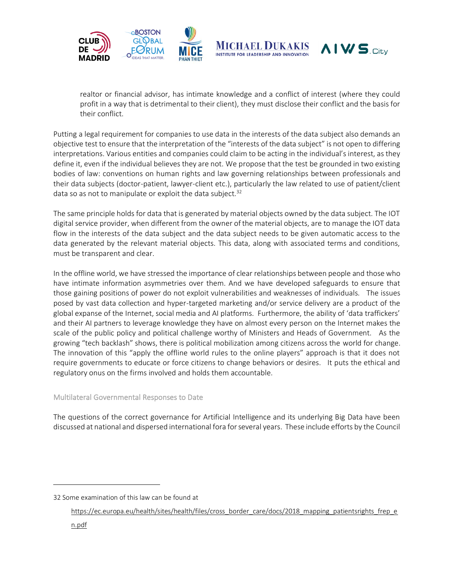

realtor or financial advisor, has intimate knowledge and a conflict of interest (where they could profit in a way that is detrimental to their client), they must disclose their conflict and the basis for their conflict.

Putting a legal requirement for companies to use data in the interests of the data subject also demands an objective test to ensure that the interpretation of the "interests of the data subject" is not open to differing interpretations. Various entities and companies could claim to be acting in the individual's interest, as they define it, even if the individual believes they are not. We propose that the test be grounded in two existing bodies of law: conventions on human rights and law governing relationships between professionals and their data subjects (doctor-patient, lawyer-client etc.), particularly the law related to use of patient/client data so as not to manipulate or exploit the data subject.<sup>32</sup>

The same principle holds for data that is generated by material objects owned by the data subject. The IOT digital service provider, when different from the owner of the material objects, are to manage the IOT data flow in the interests of the data subject and the data subject needs to be given automatic access to the data generated by the relevant material objects. This data, along with associated terms and conditions, must be transparent and clear.

In the offline world, we have stressed the importance of clear relationships between people and those who have intimate information asymmetries over them. And we have developed safeguards to ensure that those gaining positions of power do not exploit vulnerabilities and weaknesses of individuals. The issues posed by vast data collection and hyper-targeted marketing and/or service delivery are a product of the global expanse of the Internet, social media and AI platforms. Furthermore, the ability of 'data traffickers' and their AI partners to leverage knowledge they have on almost every person on the Internet makes the scale of the public policy and political challenge worthy of Ministers and Heads of Government. As the growing "tech backlash" shows, there is political mobilization among citizens across the world for change. The innovation of this "apply the offline world rules to the online players" approach is that it does not require governments to educate or force citizens to change behaviors or desires. It puts the ethical and regulatory onus on the firms involved and holds them accountable.

Multilateral Governmental Responses to Date

The questions of the correct governance for Artificial Intelligence and its underlying Big Data have been discussed at national and dispersed international fora for several years. These include efforts by the Council

<sup>32</sup> Some examination of this law can be found at

https://ec.europa.eu/health/sites/health/files/cross\_border\_care/docs/2018\_mapping\_patientsrights\_frep\_e

n.pdf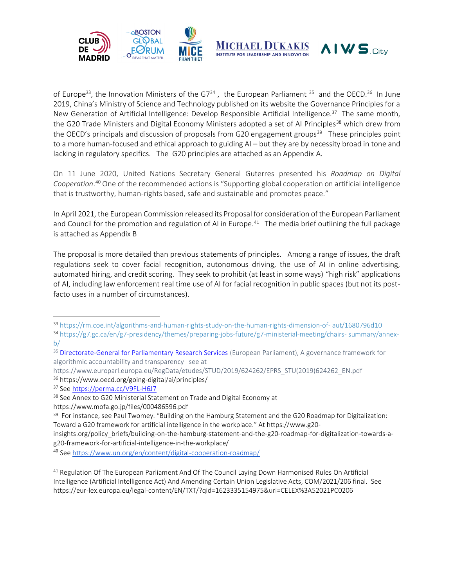

of Europe<sup>33</sup>, the Innovation Ministers of the G7<sup>34</sup>, the European Parliament <sup>35</sup> and the OECD.<sup>36</sup> In June 2019, China's Ministry of Science and Technology published on its website the Governance Principles for a New Generation of Artificial Intelligence: Develop Responsible Artificial Intelligence.<sup>37</sup> The same month, the G20 Trade Ministers and Digital Economy Ministers adopted a set of AI Principles<sup>38</sup> which drew from the OECD's principals and discussion of proposals from G20 engagement groups<sup>39</sup> These principles point to a more human-focused and ethical approach to guiding AI – but they are by necessity broad in tone and lacking in regulatory specifics. The G20 principles are attached as an Appendix A.

On 11 June 2020, United Nations Secretary General Guterres presented his *Roadmap on Digital Cooperation*. <sup>40</sup> One of the recommended actions is "Supporting global cooperation on artificial intelligence that is trustworthy, human-rights based, safe and sustainable and promotes peace."

In April 2021, the European Commission released its Proposal for consideration of the European Parliament and Council for the promotion and regulation of AI in Europe.<sup>41</sup> The media brief outlining the full package is attached as Appendix B

The proposal is more detailed than previous statements of principles. Among a range of issues, the draft regulations seek to cover facial recognition, autonomous driving, the use of AI in online advertising, automated hiring, and credit scoring. They seek to prohibit (at least in some ways) "high risk" applications of AI, including law enforcement real time use of AI for facial recognition in public spaces (but not its postfacto uses in a number of circumstances).

 $b/$ 

https://www.europarl.europa.eu/RegData/etudes/STUD/2019/624262/EPRS\_STU(2019)624262\_EN.pdf

https://www.mofa.go.jp/files/000486596.pdf

<sup>33</sup> https://rm.coe.int/algorithms-and-human-rights-study-on-the-human-rights-dimension-of- aut/1680796d10 <sup>34</sup> https://g7.gc.ca/en/g7-presidency/themes/preparing-jobs-future/g7-ministerial-meeting/chairs- summary/annex-

<sup>&</sup>lt;sup>35</sup> [Directorate-General for Parliamentary Research Services](https://op.europa.eu/en/publication-detail?p_p_id=portal2012documentDetail_WAR_portal2012portlet&p_p_lifecycle=1&p_p_state=normal&p_p_mode=view&p_p_col_id=maincontentarea&p_p_col_count=3&_portal2012documentDetail_WAR_portal2012portlet_javax.portlet.action=author&facet.author=EP_RESEARCH&language=en&facet.collection=EUPub) (European Parliament), A governance framework for algorithmic accountability and transparency see at

<sup>36</sup> https://www.oecd.org/going-digital/ai/principles/

<sup>37</sup> Se[e https://perma.cc/V9FL-H6J7](https://perma.cc/V9FL-H6J7) 

<sup>&</sup>lt;sup>38</sup> See Annex to G20 Ministerial Statement on Trade and Digital Economy at

<sup>&</sup>lt;sup>39</sup> For instance, see Paul Twomey. "Building on the Hamburg Statement and the G20 Roadmap for Digitalization: Toward a G20 framework for artificial intelligence in the workplace." At https://www.g20-

insights.org/policy\_briefs/building-on-the-hamburg-statement-and-the-g20-roadmap-for-digitalization-towards-ag20-framework-for-artificial-intelligence-in-the-workplace/

<sup>40</sup> Se[e https://www.un.org/en/content/digital-cooperation-roadmap/](https://www.un.org/en/content/digital-cooperation-roadmap/)

<sup>41</sup> Regulation Of The European Parliament And Of The Council Laying Down Harmonised Rules On Artificial Intelligence (Artificial Intelligence Act) And Amending Certain Union Legislative Acts, COM/2021/206 final. See https://eur-lex.europa.eu/legal-content/EN/TXT/?qid=1623335154975&uri=CELEX%3A52021PC0206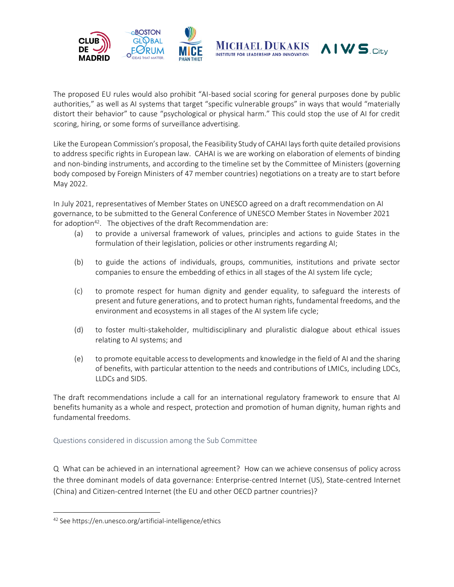

The proposed EU rules would also prohibit "AI-based social scoring for general purposes done by public authorities," as well as AI systems that target "specific vulnerable groups" in ways that would "materially distort their behavior" to cause "psychological or physical harm." This could stop the use of AI for credit scoring, hiring, or some forms of surveillance advertising.

Like the European Commission's proposal, the Feasibility Study of CAHAI lays forth quite detailed provisions to address specific rights in European law. CAHAI is we are working on elaboration of elements of binding and non-binding instruments, and according to the timeline set by the Committee of Ministers (governing body composed by Foreign Ministers of 47 member countries) negotiations on a treaty are to start before May 2022.

In July 2021, representatives of Member States on UNESCO agreed on a draft recommendation on AI governance, to be submitted to the General Conference of UNESCO Member States in November 2021 for adoption<sup>42</sup>. The objectives of the draft Recommendation are:

- (a) to provide a universal framework of values, principles and actions to guide States in the formulation of their legislation, policies or other instruments regarding AI;
- (b) to guide the actions of individuals, groups, communities, institutions and private sector companies to ensure the embedding of ethics in all stages of the AI system life cycle;
- (c) to promote respect for human dignity and gender equality, to safeguard the interests of present and future generations, and to protect human rights, fundamental freedoms, and the environment and ecosystems in all stages of the AI system life cycle;
- (d) to foster multi-stakeholder, multidisciplinary and pluralistic dialogue about ethical issues relating to AI systems; and
- (e) to promote equitable access to developments and knowledge in the field of AI and the sharing of benefits, with particular attention to the needs and contributions of LMICs, including LDCs, LLDCs and SIDS.

The draft recommendations include a call for an international regulatory framework to ensure that AI benefits humanity as a whole and respect, protection and promotion of human dignity, human rights and fundamental freedoms.

Questions considered in discussion among the Sub Committee

Q What can be achieved in an international agreement? How can we achieve consensus of policy across the three dominant models of data governance: Enterprise-centred Internet (US), State-centred Internet (China) and Citizen-centred Internet (the EU and other OECD partner countries)?

<sup>42</sup> See https://en.unesco.org/artificial-intelligence/ethics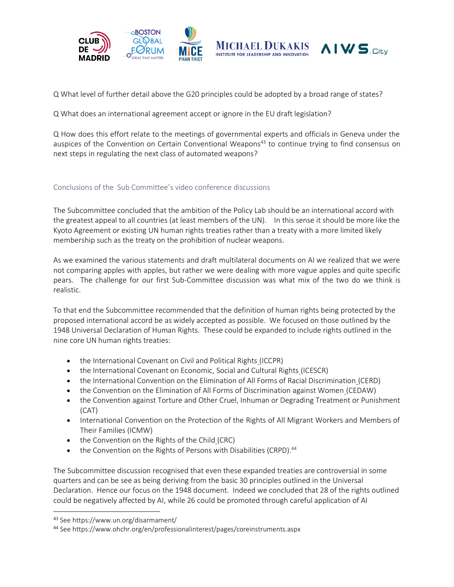

Q What level of further detail above the G20 principles could be adopted by a broad range of states?

Q What does an international agreement accept or ignore in the EU draft legislation?

Q How does this effort relate to the meetings of governmental experts and officials in Geneva under the auspices of the Convention on Certain Conventional Weapons<sup>43</sup> to continue trying to find consensus on next steps in regulating the next class of automated weapons?

#### Conclusions of the Sub Committee's video conference discussions

The Subcommittee concluded that the ambition of the Policy Lab should be an international accord with the greatest appeal to all countries (at least members of the UN). In this sense it should be more like the Kyoto Agreement or existing UN human rights treaties rather than a treaty with a more limited likely membership such as the treaty on the prohibition of nuclear weapons.

As we examined the various statements and draft multilateral documents on AI we realized that we were not comparing apples with apples, but rather we were dealing with more vague apples and quite specific pears. The challenge for our first Sub-Committee discussion was what mix of the two do we think is realistic.

To that end the Subcommittee recommended that the definition of human rights being protected by the proposed international accord be as widely accepted as possible. We focused on those outlined by the 1948 Universal Declaration of Human Rights. These could be expanded to include rights outlined in the nine core UN human rights treaties:

- the International Covenant on Civil and Political Rights (ICCPR)
- the International Covenant on Economic, Social and Cultural Rights (ICESCR)
- the International Convention on the Elimination of All Forms of Racial Discrimination (CERD)
- the Convention on the Elimination of All Forms of Discrimination against Women (CEDAW)
- the Convention against Torture and Other Cruel, Inhuman or Degrading Treatment or Punishment (CAT)
- International Convention on the Protection of the Rights of All Migrant Workers and Members of Their Families (ICMW)
- the Convention on the Rights of the Child (CRC)
- the Convention on the Rights of Persons with Disabilities (CRPD).<sup>44</sup>

The Subcommittee discussion recognised that even these expanded treaties are controversial in some quarters and can be see as being deriving from the basic 30 principles outlined in the Universal Declaration. Hence our focus on the 1948 document. Indeed we concluded that 28 of the rights outlined could be negatively affected by AI, while 26 could be promoted through careful application of AI

<sup>43</sup> See https://www.un.org/disarmament/

<sup>44</sup> See https://www.ohchr.org/en/professionalinterest/pages/coreinstruments.aspx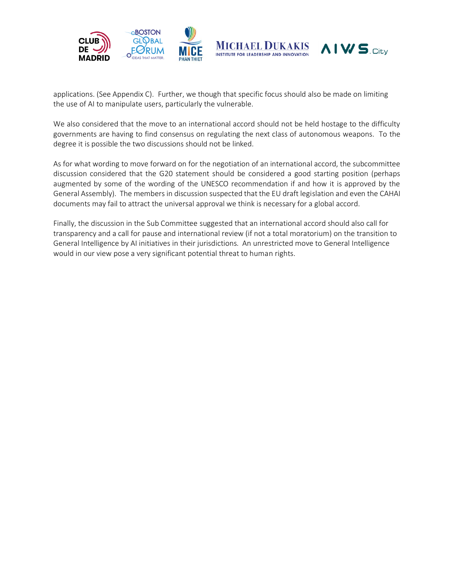

applications. (See Appendix C). Further, we though that specific focus should also be made on limiting the use of AI to manipulate users, particularly the vulnerable.

We also considered that the move to an international accord should not be held hostage to the difficulty governments are having to find consensus on regulating the next class of autonomous weapons. To the degree it is possible the two discussions should not be linked.

As for what wording to move forward on for the negotiation of an international accord, the subcommittee discussion considered that the G20 statement should be considered a good starting position (perhaps augmented by some of the wording of the UNESCO recommendation if and how it is approved by the General Assembly). The members in discussion suspected that the EU draft legislation and even the CAHAI documents may fail to attract the universal approval we think is necessary for a global accord.

Finally, the discussion in the Sub Committee suggested that an international accord should also call for transparency and a call for pause and international review (if not a total moratorium) on the transition to General Intelligence by AI initiatives in their jurisdictions. An unrestricted move to General Intelligence would in our view pose a very significant potential threat to human rights.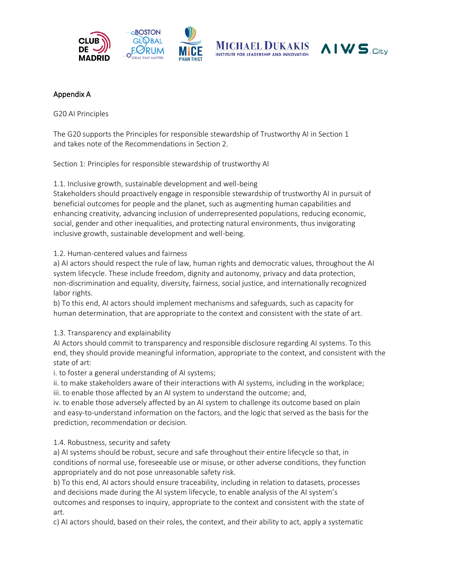

### Appendix A

G20 AI Principles

The G20 supports the Principles for responsible stewardship of Trustworthy AI in Section 1 and takes note of the Recommendations in Section 2.

Section 1: Principles for responsible stewardship of trustworthy AI

1.1. Inclusive growth, sustainable development and well-being

Stakeholders should proactively engage in responsible stewardship of trustworthy AI in pursuit of beneficial outcomes for people and the planet, such as augmenting human capabilities and enhancing creativity, advancing inclusion of underrepresented populations, reducing economic, social, gender and other inequalities, and protecting natural environments, thus invigorating inclusive growth, sustainable development and well-being.

1.2. Human-centered values and fairness

a) AI actors should respect the rule of law, human rights and democratic values, throughout the AI system lifecycle. These include freedom, dignity and autonomy, privacy and data protection, non-discrimination and equality, diversity, fairness, social justice, and internationally recognized labor rights.

b) To this end, AI actors should implement mechanisms and safeguards, such as capacity for human determination, that are appropriate to the context and consistent with the state of art.

#### 1.3. Transparency and explainability

AI Actors should commit to transparency and responsible disclosure regarding AI systems. To this end, they should provide meaningful information, appropriate to the context, and consistent with the state of art:

i. to foster a general understanding of AI systems;

ii. to make stakeholders aware of their interactions with AI systems, including in the workplace; iii. to enable those affected by an AI system to understand the outcome; and,

iv. to enable those adversely affected by an AI system to challenge its outcome based on plain and easy-to-understand information on the factors, and the logic that served as the basis for the prediction, recommendation or decision.

1.4. Robustness, security and safety

a) AI systems should be robust, secure and safe throughout their entire lifecycle so that, in conditions of normal use, foreseeable use or misuse, or other adverse conditions, they function appropriately and do not pose unreasonable safety risk.

b) To this end, AI actors should ensure traceability, including in relation to datasets, processes and decisions made during the AI system lifecycle, to enable analysis of the AI system's outcomes and responses to inquiry, appropriate to the context and consistent with the state of art.

c) AI actors should, based on their roles, the context, and their ability to act, apply a systematic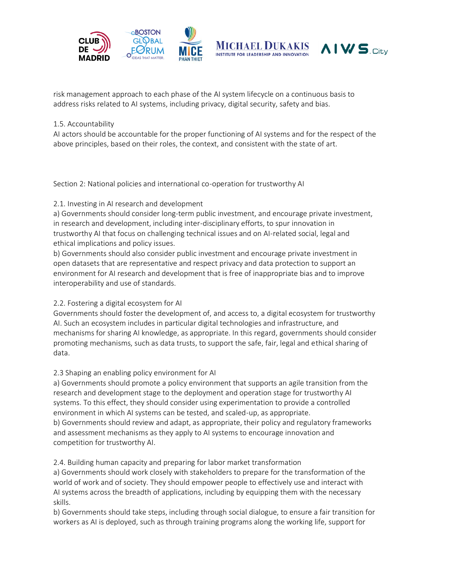

risk management approach to each phase of the AI system lifecycle on a continuous basis to address risks related to AI systems, including privacy, digital security, safety and bias.

### 1.5. Accountability

AI actors should be accountable for the proper functioning of AI systems and for the respect of the above principles, based on their roles, the context, and consistent with the state of art.

Section 2: National policies and international co-operation for trustworthy AI

### 2.1. Investing in AI research and development

a) Governments should consider long-term public investment, and encourage private investment, in research and development, including inter-disciplinary efforts, to spur innovation in trustworthy AI that focus on challenging technical issues and on AI-related social, legal and ethical implications and policy issues.

b) Governments should also consider public investment and encourage private investment in open datasets that are representative and respect privacy and data protection to support an environment for AI research and development that is free of inappropriate bias and to improve interoperability and use of standards.

## 2.2. Fostering a digital ecosystem for AI

Governments should foster the development of, and access to, a digital ecosystem for trustworthy AI. Such an ecosystem includes in particular digital technologies and infrastructure, and mechanisms for sharing AI knowledge, as appropriate. In this regard, governments should consider promoting mechanisms, such as data trusts, to support the safe, fair, legal and ethical sharing of data.

#### 2.3 Shaping an enabling policy environment for AI

a) Governments should promote a policy environment that supports an agile transition from the research and development stage to the deployment and operation stage for trustworthy AI systems. To this effect, they should consider using experimentation to provide a controlled environment in which AI systems can be tested, and scaled-up, as appropriate. b) Governments should review and adapt, as appropriate, their policy and regulatory frameworks and assessment mechanisms as they apply to AI systems to encourage innovation and competition for trustworthy AI.

2.4. Building human capacity and preparing for labor market transformation

a) Governments should work closely with stakeholders to prepare for the transformation of the world of work and of society. They should empower people to effectively use and interact with AI systems across the breadth of applications, including by equipping them with the necessary skills.

b) Governments should take steps, including through social dialogue, to ensure a fair transition for workers as AI is deployed, such as through training programs along the working life, support for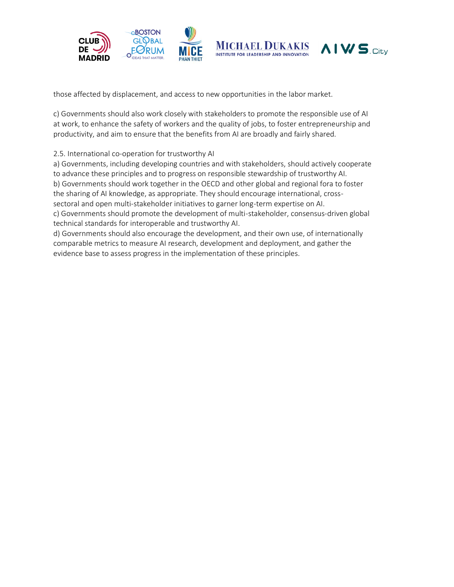

those affected by displacement, and access to new opportunities in the labor market.

c) Governments should also work closely with stakeholders to promote the responsible use of AI at work, to enhance the safety of workers and the quality of jobs, to foster entrepreneurship and productivity, and aim to ensure that the benefits from AI are broadly and fairly shared.

## 2.5. International co-operation for trustworthy AI

a) Governments, including developing countries and with stakeholders, should actively cooperate to advance these principles and to progress on responsible stewardship of trustworthy AI.

b) Governments should work together in the OECD and other global and regional fora to foster the sharing of AI knowledge, as appropriate. They should encourage international, crosssectoral and open multi-stakeholder initiatives to garner long-term expertise on AI.

c) Governments should promote the development of multi-stakeholder, consensus-driven global technical standards for interoperable and trustworthy AI.

d) Governments should also encourage the development, and their own use, of internationally comparable metrics to measure AI research, development and deployment, and gather the evidence base to assess progress in the implementation of these principles.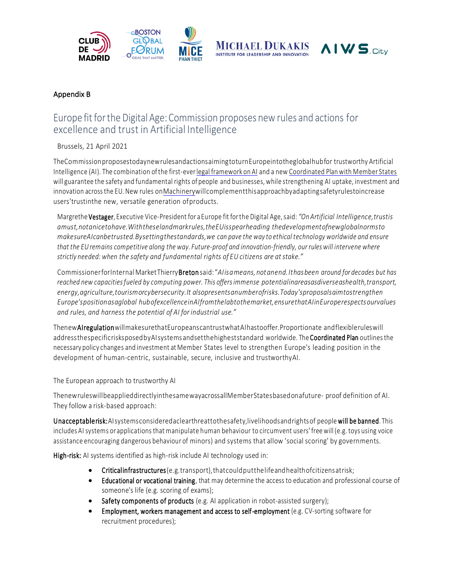

## Appendix B

# Europe fit forthe Digital Age:Commission proposes newrules and actions for excellence and trust in Artificial Intelligence

## Brussels, 21 April 2021

TheCommissionproposestodaynewrulesandactionsaimingtoturnEuropeintotheglobalhubfor trustworthy Artificial Intelligence (AI). The combination ofthe first-everlegal [framework](https://digital-strategy.ec.europa.eu/news-redirect/709090) on AI and a new [Coordinated](https://digital-strategy.ec.europa.eu/news-redirect/709091) Planwith Member States will guarantee the safety and fundamental rights of people and businesses, while strengthening AI uptake, investment and innovation acrossthe EU. New rules o[nMachineryw](https://ec.europa.eu/docsroom/documents/45508)illcomplementthisapproachbyadaptingsafetyrulestoincrease users'trustinthe new, versatile generation ofproducts.

Margrethe Vestager, Executive Vice-President for a Europe fit forthe Digital Age,said: *"On Artificial Intelligence,trustis amust,notanicetohave.Withtheselandmarkrules,theEUisspearheading thedevelopmentofnewglobalnormsto makesureAIcanbetrusted.Bysettingthestandards,we can pave the way to ethical technology worldwide and ensure that the EU remains competitive along the way. Future-proof and innovation-friendly, our ruleswill intervene where strictly needed: when the safety and fundamental rights of EU citizens are atstake."*

CommissionerforInternal MarketThierryBreton said: "*AIisameans, notanend.Ithasbeen around for decades but has reached new capacitiesfueled by computing power. This offersimmense potentialinareasasdiverseashealth,transport, energy,agriculture,tourismorcybersecurity.It alsopresentsanumberofrisks.Today'sproposalsaimtostrengthen Europe'spositionasaglobal hubofexcellenceinAIfromthelabtothemarket,ensurethatAIinEuroperespectsourvalues and rules, and harness the potential of AI for industrial use."*

ThenewAI regulation willmakesurethatEuropeanscantrustwhatAIhastooffer.Proportionate andflexibleruleswill addressthespecificrisksposedbyAIsystemsandsetthehigheststandard worldwide. The Coordinated Plan outlines the necessary policy changes and investment at Member States level to strengthen Europe's leading position in the development of human-centric, sustainable, secure, inclusive and trustworthyAI.

The European approach to trustworthy AI

ThenewruleswillbeapplieddirectlyinthesamewayacrossallMemberStatesbasedonafuture- proof definition of AI. They follow a risk-based approach:

Unacceptablerisk: AIsystemsconsideredaclearthreattothesafety, livelihoodsandrights of people will be banned. This includes AI systems or applications that manipulate human behaviour to circumvent users' freewill (e.g. toys using voice assistance encouraging dangerous behaviour of minors) and systems that allow 'social scoring' by governments.

High-risk: AI systems identified as high-risk include AI technology used in:

- Critical infrastructures (e.g.transport),thatcouldputthelifeandhealthofcitizensatrisk;
- Educational or vocational training, that may determine the access to education and professional course of someone's life (e.g. scoring of exams);
- Safety components of products (e.g. AI application in robot-assisted surgery);
- Employment, workers management and access to self-employment (e.g. CV-sorting software for recruitment procedures);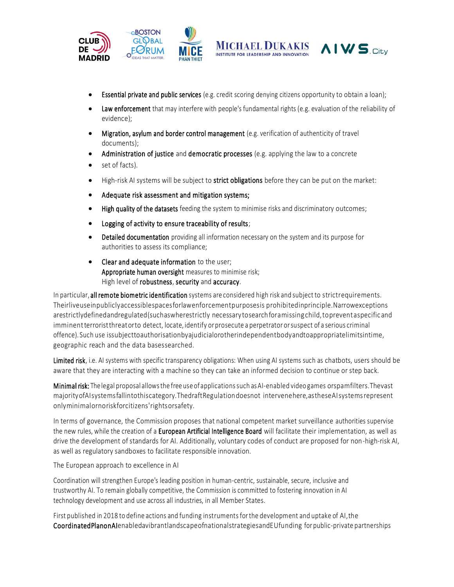

- Essential private and public services (e.g. credit scoring denying citizens opportunity to obtain a loan);
- Law enforcement that may interfere with people's fundamental rights (e.g. evaluation of the reliability of evidence);
- Migration, asylum and border control management (e.g. verification of authenticity of travel documents);
- Administration of justice and democratic processes (e.g. applying the law to a concrete
- set of facts).
- High-risk AI systems will be subject to **strict obligations** before they can be put on the market:
- Adequate risk assessment and mitigation systems;
- High quality of the datasets feeding the system to minimise risks and discriminatory outcomes;
- Logging of activity to ensure traceability of results;
- Detailed documentation providing all information necessary on the system and its purpose for authorities to assess its compliance;
- Clear and adequate information to the user; Appropriate human oversight measures to minimise risk; High level of robustness, security and accuracy.

In particular, all remote biometric identification systems are considered high risk and subject to strictrequirements. Theirliveuseinpubliclyaccessiblespacesforlawenforcementpurposesis prohibitedinprinciple.Narrowexceptions arestrictlydefinedandregulated(suchaswherestrictly necessary tosearchforamissingchild,topreventaspecific and imminentterroristthreatorto detect, locate, identify orprosecute a perpetrator orsuspect of a serious criminal offence). Such use issubjecttoauthorisationbyajudicialorotherindependentbodyandtoappropriatelimitsintime, geographic reach and the data basessearched.

Limited risk, i.e. AI systems with specific transparency obligations: When using AI systems such as chatbots, users should be aware that they are interacting with a machine so they can take an informed decision to continue or step back.

Minimal risk: Thelegal proposal allowsthe free use ofapplicationssuch asAI-enabled video games orspamfilters.Thevast majorityofAIsystemsfallintothiscategory.ThedraftRegulationdoesnot intervenehere,astheseAIsystemsrepresent onlyminimalornoriskforcitizens'rightsorsafety.

In terms of governance, the Commission proposes that national competent market surveillance authorities supervise the new rules, while the creation of a European Artificial Intelligence Board will facilitate their implementation, as well as drive the development of standards for AI. Additionally, voluntary codes of conduct are proposed for non-high-risk AI, as well as regulatory sandboxes to facilitate responsible innovation.

The European approach to excellence in AI

Coordination will strengthen Europe's leading position in human-centric, sustainable, secure, inclusive and trustworthy AI. To remain globally competitive, the Commission is committed to fostering innovation in AI technology development and use across all industries, in all Member States.

First published in 2018 to define actions and funding instruments forthe development and uptake of AI,the Coordinated Planon AlenabledavibrantlandscapeofnationalstrategiesandEUfunding for public-private partnerships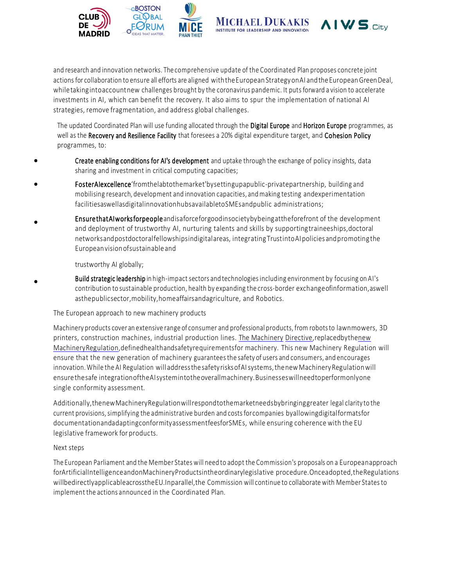

and research and innovation networks. The comprehensive update of the Coordinated Plan proposes concrete joint actions for collaboration to ensure all efforts are aligned withtheEuropean StrategyonAI andtheEuropeanGreenDeal, whiletakingintoaccountnew challenges brought by the coronavirus pandemic. It puts forward a vision to accelerate investments in AI, which can benefit the recovery. It also aims to spur the implementation of national AI strategies, remove fragmentation, and address global challenges.

 $\sqrt{1 + 5}$ . City

The updated Coordinated Plan will use funding allocated through the Digital Europe and Horizon Europe programmes, as well as the Recovery and Resilience Facility that foresees a 20% digital expenditure target, and Cohesion Policy programmes, to:

- Create enabling conditions for AI's development and uptake through the exchange of policy insights, data sharing and investment in critical computing capacities;
	- Foster Alexcellence 'from the labtothemarket' by setting upapublic-private partnership, building and mobilising research, development and innovation capacities, and making testing andexperimentation facilitiesaswellasdigitalinnovationhubsavailabletoSMEsandpublic administrations;
	- Ensure that AI works for people and is a force for good insociety by being at the fore front of the development and deployment of trustworthy AI, nurturing talents and skills by supportingtraineeships,doctoral networksandpostdoctoralfellowshipsindigitalareas, integratingTrustintoAIpolicies andpromotingthe Europeanvisionofsustainableand

trustworthy AI globally;

Build strategic leadership in high-impact sectors and technologiesincluding environment by focusing on AI's contribution to sustainable production, health by expanding the cross-border exchangeofinformation,aswell asthepublicsector,mobility,homeaffairsandagriculture, and Robotics.

The European approach to new machinery products

Machinery products cover an extensive range of consumer and professional products, from robotsto [lawnmowers, 3D](https://ec.europa.eu/growth/sectors/mechanical-engineering/machinery_en)  [printers, construction machines, industrial production lines. The Machinery](https://ec.europa.eu/growth/sectors/mechanical-engineering/machinery_en) Directive,replacedbyth[enew](https://ec.europa.eu/docsroom/documents/45508) [MachineryRegulation](https://ec.europa.eu/docsroom/documents/45508)[,definedhealthandsafetyrequirement](https://ec.europa.eu/growth/sectors/mechanical-engineering/machinery_en)sfor machinery. This new Machinery Regulation will ensure that the new generation of machinery guaranteesthe safety of users and consumers, and encourages innovation. While the AI Regulation will address the safety risks of AI systems, the new Machinery Regulation will ensurethesafe integrationoftheAIsystemintotheoverallmachinery.Businesseswillneedtoperformonlyone single conformity assessment.

Additionally,thenewMachineryRegulationwillrespondtothemarketneedsbybringinggreater legal clarity to the current provisions,simplifying the administrative burden and costs forcompanies byallowingdigitalformatsfor documentationandadaptingconformityassessmentfeesforSMEs, while ensuring coherence with the EU legislative framework for products.

#### Next steps

The European Parliament and the Member States will need to adopt the Commission's proposals on a Europeanapproach forArtificialIntelligenceandonMachineryProductsintheordinarylegislative procedure.Onceadopted,theRegulations willbedirectlyapplicableacrosstheEU.Inparallel,the Commission will continue to collaboratewith Member States to implement the actions announced in the Coordinated Plan.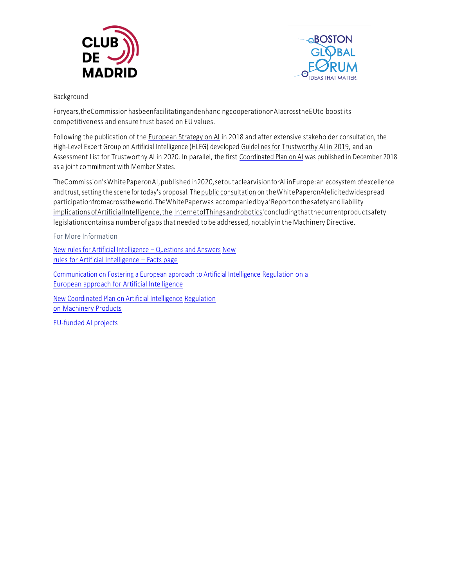



#### Background

Foryears,theCommissionhasbeenfacilitatingandenhancingcooperationonAIacrosstheEUto boost its competitiveness and ensure trust based on EU values.

Following the publication of the [European Strategy on AI](https://ec.europa.eu/transparency/regdoc/rep/1/2018/EN/COM-2018-237-F1-EN-MAIN-PART-1.PDF) in 2018 and after extensive stakeholder consultation, the [High-Level Expert Group on Artificial Intelligence \(HLEG\) developed Guidelines for](https://digital-strategy.ec.europa.eu/en/library/communication-building-trust-human-centric-artificial-intelligence) Trustworthy AI in 2019, and an [Assessment List for Trustworthy AI in 2020. In parallel, the first](https://digital-strategy.ec.europa.eu/en/library/communication-building-trust-human-centric-artificial-intelligence) [Coordinated Plan on AI](http://europa.eu/rapid/press-release_IP-18-6689_en.htm) was published in December 2018 as a joint commitment with Member States.

TheCommission'[sWhitePaperonAI,](https://ec.europa.eu/info/strategy/priorities-2019-2024/europe-fit-digital-age/excellence-trust-artificial-intelligence_en)publishedin2020,setoutaclearvisionforAIinEurope:an ecosystem of excellence and trust, setting the scene for today's proposal. The public [consultation](https://ec.europa.eu/digital-single-market/en/news/white-paper-artificial-intelligence-public-consultation-towards-european-approach-excellence) on the WhitePaperonAIelicitedwidespread participationfromacrosstheworld.TheWhitePaperwas accompaniedbya'[Reportonthesafetyandliability](https://ec.europa.eu/info/publications/commission-report-safety-and-liability-implications-ai-internet-things-and-robotics-0_en) implications of Artificial Intelligence, the Internet of Things and robotics' concluding that the current products afety [legislationcontains](https://ec.europa.eu/info/publications/commission-report-safety-and-liability-implications-ai-internet-things-and-robotics-0_en)a number of gapsthat needed to be addressed, notably in the Machinery Directive.

For More Information

[New rules for Artificial Intelligence](https://ec.europa.eu/commission/presscorner/detail/en/QANDA_21_1683) – Questions and Answers [New](https://ec.europa.eu/info/strategy/priorities-2019-2024/europe-fit-digital-age/excellence-trust-artificial-intelligence_en)  [rules for Artificial Intelligence](https://ec.europa.eu/info/strategy/priorities-2019-2024/europe-fit-digital-age/excellence-trust-artificial-intelligence_en) – Facts page

[Communication on Fostering a European approach to Artificial Intelligence](https://digital-strategy.ec.europa.eu/news-redirect/709089) [Regulation on a](https://digital-strategy.ec.europa.eu/news-redirect/709090)  [European approach for Artificial Intelligence](https://digital-strategy.ec.europa.eu/news-redirect/709090)

[New Coordinated Plan on Artificial Intelligence](https://digital-strategy.ec.europa.eu/news-redirect/709091) [Regulation](https://ec.europa.eu/docsroom/documents/45508)  [on Machinery Products](https://ec.europa.eu/docsroom/documents/45508)

[EU-funded AI projects](https://digital-strategy.ec.europa.eu/news-redirect/709109)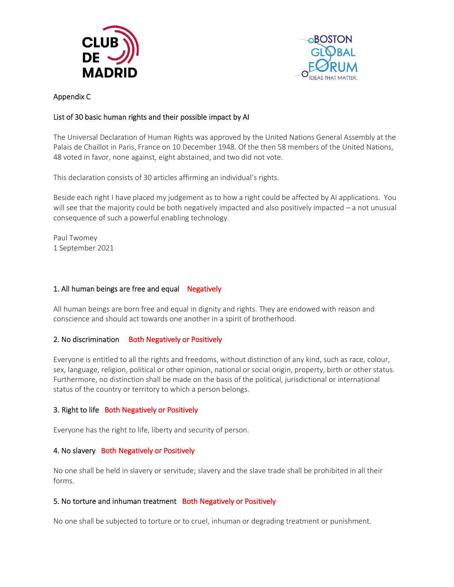



## Appendix C

## List of 30 basic human rights and their possible impact by AI

The Universal Declaration of Human Rights was approved by the United Nations General Assembly at the Palais de Chaillot in Paris, France on 10 December 1948. Of the then 58 members of the United Nations, 48 voted in favor, none against, eight abstained, and two did not vote.

This declaration consists of 30 articles affirming an individual's rights.

Beside each right I have placed my judgement as to how a right could be affected by AI applications. You will see that the majority could be both negatively impacted and also positively impacted – a not unusual consequence of such a powerful enabling technology.

Paul Twomey 1 September 2021

### 1. All human beings are free and equal Negatively

All human beings are born free and equal in dignity and rights. They are endowed with reason and conscience and should act towards one another in a spirit of brotherhood.

## 2. No discrimination Both Negatively or Positively

Everyone is entitled to all the rights and freedoms, without distinction of any kind, such as race, colour, sex, language, religion, political or other opinion, national or social origin, property, birth or other status. Furthermore, no distinction shall be made on the basis of the political, jurisdictional or international status of the country or territory to which a person belongs.

## 3. Right to life Both Negatively or Positively

Everyone has the right to life, liberty and security of person.

## 4. No slavery Both Negatively or Positively

No one shall be held in slavery or servitude; slavery and the slave trade shall be prohibited in all their forms.

#### 5. No torture and inhuman treatment Both Negatively or Positively

No one shall be subjected to torture or to cruel, inhuman or degrading treatment or punishment.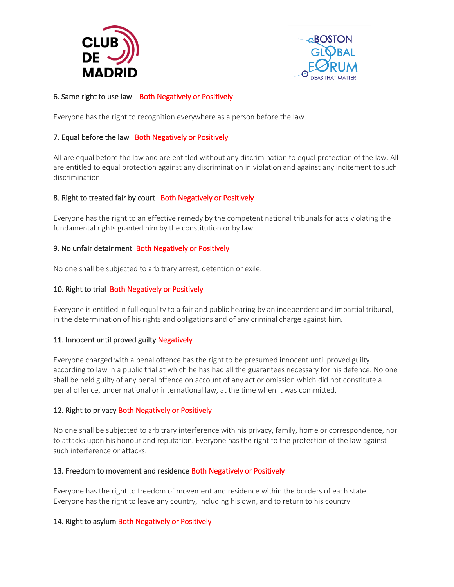



## 6. Same right to use law Both Negatively or Positively

Everyone has the right to recognition everywhere as a person before the law.

## 7. Equal before the law Both Negatively or Positively

All are equal before the law and are entitled without any discrimination to equal protection of the law. All are entitled to equal protection against any discrimination in violation and against any incitement to such discrimination.

## 8. Right to treated fair by court Both Negatively or Positively

Everyone has the right to an effective remedy by the competent national tribunals for acts violating the fundamental rights granted him by the constitution or by law.

### 9. No unfair detainment Both Negatively or Positively

No one shall be subjected to arbitrary arrest, detention or exile.

## 10. Right to trial Both Negatively or Positively

Everyone is entitled in full equality to a fair and public hearing by an independent and impartial tribunal, in the determination of his rights and obligations and of any criminal charge against him.

#### 11. Innocent until proved guilty Negatively

Everyone charged with a penal offence has the right to be presumed innocent until proved guilty according to law in a public trial at which he has had all the guarantees necessary for his defence. No one shall be held guilty of any penal offence on account of any act or omission which did not constitute a penal offence, under national or international law, at the time when it was committed.

#### 12. Right to privacy Both Negatively or Positively

No one shall be subjected to arbitrary interference with his privacy, family, home or correspondence, nor to attacks upon his honour and reputation. Everyone has the right to the protection of the law against such interference or attacks.

#### 13. Freedom to movement and residence Both Negatively or Positively

Everyone has the right to freedom of movement and residence within the borders of each state. Everyone has the right to leave any country, including his own, and to return to his country.

#### 14. Right to asylum Both Negatively or Positively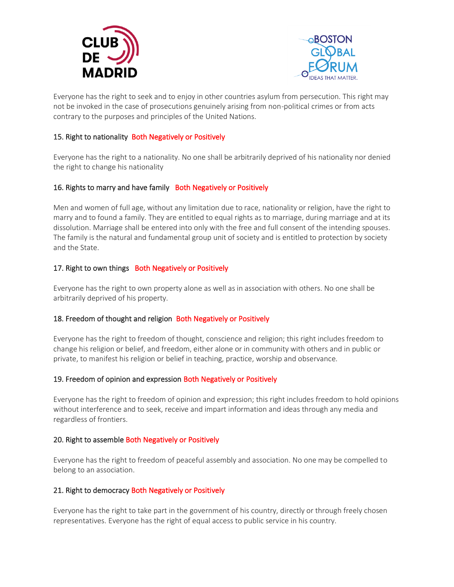



Everyone has the right to seek and to enjoy in other countries asylum from persecution. This right may not be invoked in the case of prosecutions genuinely arising from non-political crimes or from acts contrary to the purposes and principles of the United Nations.

## 15. Right to nationality Both Negatively or Positively

Everyone has the right to a nationality. No one shall be arbitrarily deprived of his nationality nor denied the right to change his nationality

## 16. Rights to marry and have family Both Negatively or Positively

Men and women of full age, without any limitation due to race, nationality or religion, have the right to marry and to found a family. They are entitled to equal rights as to marriage, during marriage and at its dissolution. Marriage shall be entered into only with the free and full consent of the intending spouses. The family is the natural and fundamental group unit of society and is entitled to protection by society and the State.

### 17. Right to own things Both Negatively or Positively

Everyone has the right to own property alone as well as in association with others. No one shall be arbitrarily deprived of his property.

#### 18. Freedom of thought and religion Both Negatively or Positively

Everyone has the right to freedom of thought, conscience and religion; this right includes freedom to change his religion or belief, and freedom, either alone or in community with others and in public or private, to manifest his religion or belief in teaching, practice, worship and observance.

#### 19. Freedom of opinion and expression Both Negatively or Positively

Everyone has the right to freedom of opinion and expression; this right includes freedom to hold opinions without interference and to seek, receive and impart information and ideas through any media and regardless of frontiers.

#### 20. Right to assemble Both Negatively or Positively

Everyone has the right to freedom of peaceful assembly and association. No one may be compelled to belong to an association.

#### 21. Right to democracy Both Negatively or Positively

Everyone has the right to take part in the government of his country, directly or through freely chosen representatives. Everyone has the right of equal access to public service in his country.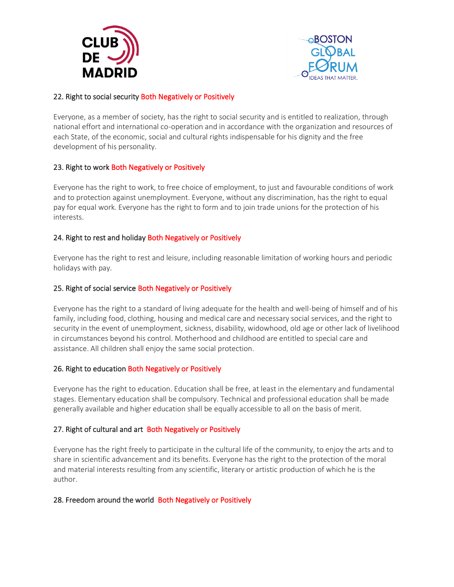



### 22. Right to social security Both Negatively or Positively

Everyone, as a member of society, has the right to social security and is entitled to realization, through national effort and international co-operation and in accordance with the organization and resources of each State, of the economic, social and cultural rights indispensable for his dignity and the free development of his personality.

## 23. Right to work Both Negatively or Positively

Everyone has the right to work, to free choice of employment, to just and favourable conditions of work and to protection against unemployment. Everyone, without any discrimination, has the right to equal pay for equal work. Everyone has the right to form and to join trade unions for the protection of his interests.

## 24. Right to rest and holiday Both Negatively or Positively

Everyone has the right to rest and leisure, including reasonable limitation of working hours and periodic holidays with pay.

## 25. Right of social service Both Negatively or Positively

Everyone has the right to a standard of living adequate for the health and well-being of himself and of his family, including food, clothing, housing and medical care and necessary social services, and the right to security in the event of unemployment, sickness, disability, widowhood, old age or other lack of livelihood in circumstances beyond his control. Motherhood and childhood are entitled to special care and assistance. All children shall enjoy the same social protection.

## 26. Right to education Both Negatively or Positively

Everyone has the right to education. Education shall be free, at least in the elementary and fundamental stages. Elementary education shall be compulsory. Technical and professional education shall be made generally available and higher education shall be equally accessible to all on the basis of merit.

## 27. Right of cultural and art Both Negatively or Positively

Everyone has the right freely to participate in the cultural life of the community, to enjoy the arts and to share in scientific advancement and its benefits. Everyone has the right to the protection of the moral and material interests resulting from any scientific, literary or artistic production of which he is the author.

## 28. Freedom around the world Both Negatively or Positively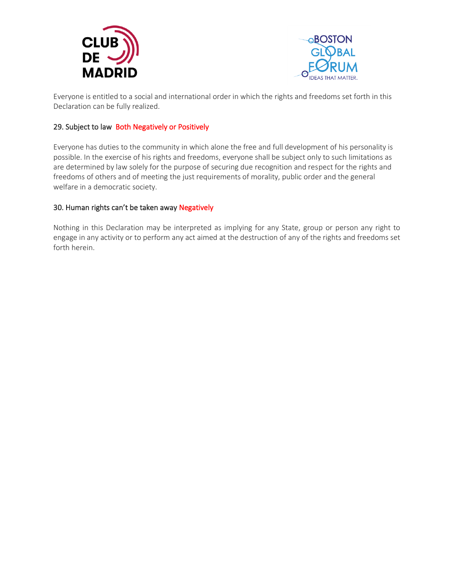



Everyone is entitled to a social and international order in which the rights and freedoms set forth in this Declaration can be fully realized.

## 29. Subject to law Both Negatively or Positively

Everyone has duties to the community in which alone the free and full development of his personality is possible. In the exercise of his rights and freedoms, everyone shall be subject only to such limitations as are determined by law solely for the purpose of securing due recognition and respect for the rights and freedoms of others and of meeting the just requirements of morality, public order and the general welfare in a democratic society.

### 30. Human rights can't be taken away Negatively

Nothing in this Declaration may be interpreted as implying for any State, group or person any right to engage in any activity or to perform any act aimed at the destruction of any of the rights and freedoms set forth herein.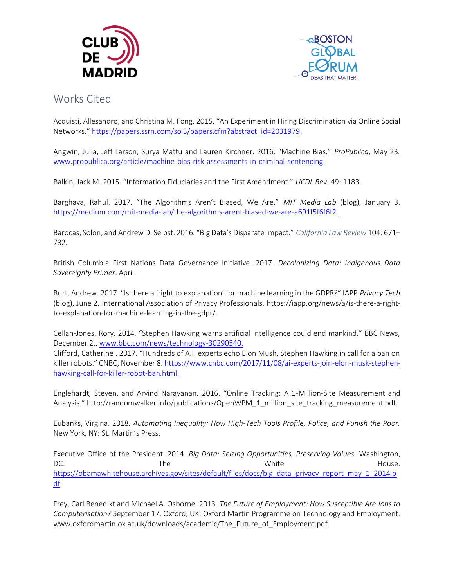



## Works Cited

Acquisti, Allesandro, and Christina M. Fong. 2015. "An Experiment in Hiring Discrimination via Online Social Networks." [https://papers.ssrn.com/sol3/papers.cfm?abstract\\_id=2031979.](https://papers.ssrn.com/sol3/papers.cfm?abstract_id=2031979)

Angwin, Julia, Jeff Larson, Surya Mattu and Lauren Kirchner. 2016. "Machine Bias." *ProPublica*, May 23*.*  [www.propublica.org/article/machine-bias-risk-assessments-in-criminal-sentencing.](https://www.propublica.org/article/machine-bias-risk-assessments-in-criminal-sentencing)

Balkin, Jack M. 2015. "Information Fiduciaries and the First Amendment." *UCDL Rev.* 49: 1183.

Barghava, Rahul. 2017. "The Algorithms Aren't Biased, We Are." *MIT Media Lab* (blog), January 3. [https://medium.com/mit-media-lab/the-algorithms-arent-biased-we-are-a691f5f6f6f2.](https://medium.com/mit-media-lab/the-algorithms-arent-biased-we-are-a691f5f6f6f2)

Barocas, Solon, and Andrew D. Selbst. 2016. "Big Data's Disparate Impact." *California Law Review* 104: 671– 732.

British Columbia First Nations Data Governance Initiative. 2017. *Decolonizing Data: Indigenous Data Sovereignty Primer*. April.

Burt, Andrew. 2017. "Is there a 'right to explanation' for machine learning in the GDPR?" IAPP *Privacy Tech* (blog), June 2. International Association of Privacy Professionals. https://iapp.org/news/a/is-there-a-rightto-explanation-for-machine-learning-in-the-gdpr/.

Cellan-Jones, Rory. 2014. "Stephen Hawking warns artificial intelligence could end mankind." BBC News, December 2.. [www.bbc.com/news/technology-30290540.](http://www.bbc.com/news/technology-30290540)

Clifford, Catherine . 2017. "Hundreds of A.I. experts echo Elon Mush, Stephen Hawking in call for a ban on killer robots." CNBC, November 8. [https://www.cnbc.com/2017/11/08/ai-experts-join-elon-musk-stephen](https://www.cnbc.com/2017/11/08/ai-experts-join-elon-musk-stephen-hawking-call-for-killer-robot-ban.html)[hawking-call-for-killer-robot-ban.html.](https://www.cnbc.com/2017/11/08/ai-experts-join-elon-musk-stephen-hawking-call-for-killer-robot-ban.html)

Englehardt, Steven, and Arvind Narayanan. 2016. "Online Tracking: A 1-Million-Site Measurement and Analysis." http://randomwalker.info/publications/OpenWPM\_1\_million\_site\_tracking\_measurement.pdf.

Eubanks, Virgina. 2018. *Automating Inequality: How High-Tech Tools Profile, Police, and Punish the Poor.* New York, NY: St. Martin's Press.

Executive Office of the President. 2014. *Big Data: Seizing Opportunities, Preserving Values*. Washington, DC: The The White White Service House. [https://obamawhitehouse.archives.gov/sites/default/files/docs/big\\_data\\_privacy\\_report\\_may\\_1\\_2014.p](https://obamawhitehouse.archives.gov/sites/default/files/docs/big_data_privacy_report_may_1_2014.pdf)\_ [df.](https://obamawhitehouse.archives.gov/sites/default/files/docs/big_data_privacy_report_may_1_2014.pdf)

Frey, Carl Benedikt and Michael A. Osborne. 2013. *The Future of Employment: How Susceptible Are Jobs to Computerisation?* September 17. Oxford, UK: Oxford Martin Programme on Technology and Employment. www.oxfordmartin.ox.ac.uk/downloads/academic/The\_Future\_of\_Employment.pdf.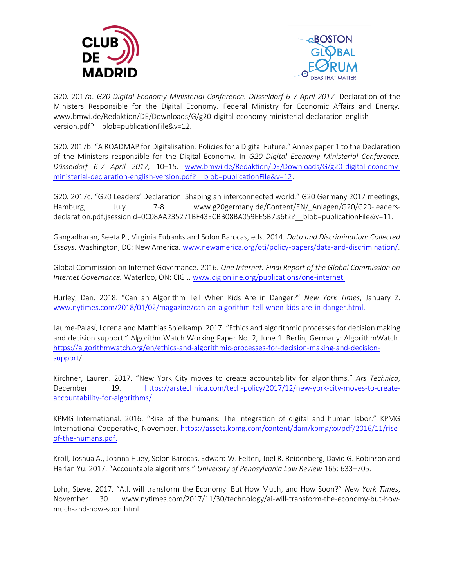



G20. 2017a. *G20 Digital Economy Ministerial Conference. Düsseldorf 6-7 April 2017. Declaration of the* Ministers Responsible for the Digital Economy. Federal Ministry for Economic Affairs and Energy. www.bmwi.de/Redaktion/DE/Downloads/G/g20-digital-economy-ministerial-declaration-englishversion.pdf?\_\_blob=publicationFile&v=12.

G20. 2017b. "A ROADMAP for Digitalisation: Policies for a Digital Future." Annex paper 1 to the Declaration of the Ministers responsible for the Digital Economy. In *G20 Digital Economy Ministerial Conference. Düsseldorf 6-7 April 2017*, 10–15. [www.bmwi.de/Redaktion/DE/Downloads/G/g20-digital-economy](http://www.bmwi.de/Redaktion/DE/Downloads/G/g20-digital-economy-ministerial-declaration-english-version.pdf?__blob=publicationFile&v=12)ministerial-declaration-english-version.pdf? blob=publicationFile&v=12.

G20. 2017c. "G20 Leaders' Declaration: Shaping an interconnected world." G20 Germany 2017 meetings, Hamburg, July 7-8. www.g20germany.de/Content/EN/\_Anlagen/G20/G20-leadersdeclaration.pdf;jsessionid=0C08AA235271BF43ECBB08BA059EE5B7.s6t2? blob=publicationFile&v=11.

Gangadharan, Seeta P., Virginia Eubanks and Solon Barocas, eds. 2014. *Data and Discrimination: Collected Essays*. Washington, DC: New America. [www.newamerica.org/oti/policy-papers/data-and-discrimination/.](http://www.newamerica.org/oti/policy-papers/data-and-discrimination/)

Global Commission on Internet Governance. 2016. *One Internet: Final Report of the Global Commission on Internet Governance.* Waterloo, ON: CIGI.. www.cigionline.org/publications/one-internet.

Hurley, Dan. 2018. "Can an Algorithm Tell When Kids Are in Danger?" *New York Times*, January 2. [www.nytimes.com/2018/01/02/magazine/can-an-algorithm-tell-when-kids-are-in-danger.html.](https://www.nytimes.com/2018/01/02/magazine/can-an-algorithm-tell-when-kids-are-in-danger.html)

Jaume-Palasí, Lorena and Matthias Spielkamp. 2017. "Ethics and algorithmic processes for decision making and decision support." AlgorithmWatch Working Paper No. 2, June 1. Berlin, Germany: AlgorithmWatch. [https://algorithmwatch.org/en/ethics-and-algorithmic-processes-for-decision-making-and-decision](https://algorithmwatch.org/en/ethics-and-algorithmic-processes-for-decision-making-and-decision-support)[support/](https://algorithmwatch.org/en/ethics-and-algorithmic-processes-for-decision-making-and-decision-support).

Kirchner, Lauren. 2017. "New York City moves to create accountability for algorithms." *Ars Technica*, December 19. [https://arstechnica.com/tech-policy/2017/12/new-york-city-moves-to-create](https://arstechnica.com/tech-policy/2017/12/new-york-city-moves-to-create-accountability-for-algorithms/)[accountability-for-algorithms/.](https://arstechnica.com/tech-policy/2017/12/new-york-city-moves-to-create-accountability-for-algorithms/)

KPMG International. 2016. "Rise of the humans: The integration of digital and human labor." KPMG International Cooperative, November. [https://assets.kpmg.com/content/dam/kpmg/xx/pdf/2016/11/rise](https://assets.kpmg.com/content/dam/kpmg/xx/pdf/2016/11/rise-of-the-humans.pdf)[of-the-humans.pdf.](https://assets.kpmg.com/content/dam/kpmg/xx/pdf/2016/11/rise-of-the-humans.pdf)

Kroll, Joshua A., Joanna Huey, Solon Barocas, Edward W. Felten, Joel R. Reidenberg, David G. Robinson and Harlan Yu. 2017. "Accountable algorithms." *University of Pennsylvania Law Review* 165: 633–705.

Lohr, Steve. 2017. "A.I. will transform the Economy. But How Much, and How Soon?" *New York Times*, November 30. www.nytimes.com/2017/11/30/technology/ai-will-transform-the-economy-but-howmuch-and-how-soon.html.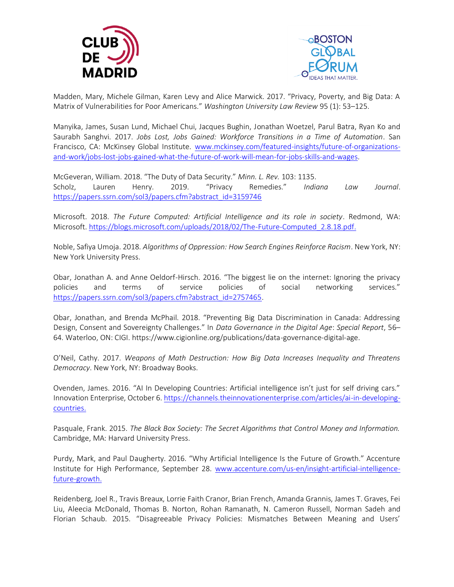



Madden, Mary, Michele Gilman, Karen Levy and Alice Marwick. 2017. "Privacy, Poverty, and Big Data: A Matrix of Vulnerabilities for Poor Americans." *Washington University Law Review* 95 (1): 53–125.

Manyika, James, Susan Lund, Michael Chui, Jacques Bughin, Jonathan Woetzel, Parul Batra, Ryan Ko and Saurabh Sanghvi. 2017. *Jobs Lost, Jobs Gained: Workforce Transitions in a Time of Automation*. San Francisco, CA: McKinsey Global Institute. www.mckinsey.com/featured-insights/future-of-organizationsand-work/jobs-lost-jobs-gained-what-the-future-of-work-will-mean-for-jobs-skills-and-wages.

McGeveran, William. 2018. "The Duty of Data Security." *Minn. L. Rev.* 103: 1135. Scholz, Lauren Henry. 2019. "Privacy Remedies." *Indiana Law Journal*. [https://papers.ssrn.com/sol3/papers.cfm?abstract\\_id=3159746](https://papers.ssrn.com/sol3/papers.cfm?abstract_id=3159746)

Microsoft. 2018. *The Future Computed: Artificial Intelligence and its role in society*. Redmond, WA: Microsoft. [https://blogs.microsoft.com/uploads/2018/02/The-Future-Computed\\_2.8.18.pdf.](https://blogs.microsoft.com/uploads/2018/02/The-Future-Computed_2.8.18.pdf)

Noble, Safiya Umoja. 2018. *Algorithms of Oppression: How Search Engines Reinforce Racism*. New York, NY: New York University Press.

Obar, Jonathan A. and Anne Oeldorf-Hirsch. 2016. "The biggest lie on the internet: Ignoring the privacy policies and terms of service policies of social networking services." [https://papers.ssrn.com/sol3/papers.cfm?abstract\\_id=2757465.](https://papers.ssrn.com/sol3/papers.cfm?abstract_id=2757465)

Obar, Jonathan, and Brenda McPhail. 2018. "Preventing Big Data Discrimination in Canada: Addressing Design, Consent and Sovereignty Challenges." In *Data Governance in the Digital Age*: *Special Report*, 56– 64. Waterloo, ON: CIGI. https://www.cigionline.org/publications/data-governance-digital-age.

O'Neil, Cathy. 2017. *Weapons of Math Destruction: How Big Data Increases Inequality and Threatens Democracy*. New York, NY: Broadway Books.

Ovenden, James. 2016. "AI In Developing Countries: Artificial intelligence isn't just for self driving cars." Innovation Enterprise, October 6. [https://channels.theinnovationenterprise.com/articles/ai-in-developing](https://channels.theinnovationenterprise.com/articles/ai-in-developing-countries)[countries.](https://channels.theinnovationenterprise.com/articles/ai-in-developing-countries)

Pasquale, Frank. 2015. *The Black Box Society: The Secret Algorithms that Control Money and Information.* Cambridge, MA: Harvard University Press.

Purdy, Mark, and Paul Daugherty. 2016. "Why Artificial Intelligence Is the Future of Growth." Accenture Institute for High Performance, September 28. [www.accenture.com/us-en/insight-artificial-intelligence](/Users/paultwomey/Desktop/Thunderbird%20downloads/www.accenture.com/us-en/insight-artificial-intelligence-future-growth)[future-growth.](/Users/paultwomey/Desktop/Thunderbird%20downloads/www.accenture.com/us-en/insight-artificial-intelligence-future-growth)

Reidenberg, Joel R., Travis Breaux, Lorrie Faith Cranor, Brian French, Amanda Grannis, James T. Graves, Fei Liu, Aleecia McDonald, Thomas B. Norton, Rohan Ramanath, N. Cameron Russell, Norman Sadeh and Florian Schaub. 2015. "Disagreeable Privacy Policies: Mismatches Between Meaning and Users'